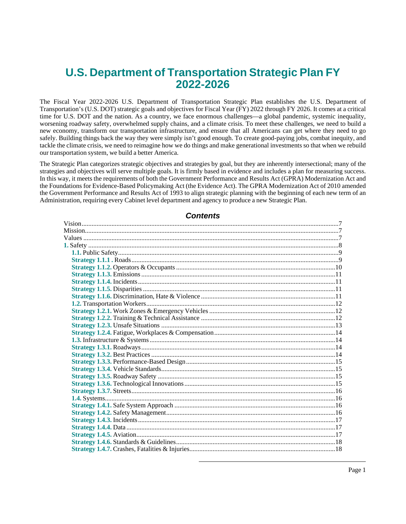# **U.S. Department of Transportation Strategic Plan FY 2022-2026**

The Fiscal Year 2022-2026 U.S. Department of Transportation Strategic Plan establishes the U.S. Department of Transportation's (U.S. DOT) strategic goals and objectives for Fiscal Year (FY) 2022 through FY 2026. It comes at a critical time for U.S. DOT and the nation. As a country, we face enormous challenges—a global pandemic, systemic inequality, worsening roadway safety, overwhelmed supply chains, and a climate crisis. To meet these challenges, we need to build a new economy, transform our transportation infrastructure, and ensure that all Americans can get where they need to go safely. Building things back the way they were simply isn't good enough. To create good-paying jobs, combat inequity, and tackle the climate crisis, we need to reimagine how we do things and make generational investments so that when we rebuild our transportation system, we build a better America.

The Strategic Plan categorizes strategic objectives and strategies by goal, but they are inherently intersectional; many of the strategies and objectives will serve multiple goals. It is firmly based in evidence and includes a plan for measuring success. In this way, it meets the requirements of both the Government Performance and Results Act (GPRA) Modernization Act and the Foundations for Evidence-Based Policymaking Act (the Evidence Act). The GPRA Modernization Act of 2010 amended the Government Performance and Results Act of 1993 to align strategic planning with the beginning of each new term of an Administration, requiring every Cabinet level department and agency to produce a new Strategic Plan.

#### [Vision...........................................................................................................................................................7](#page-6-0) [Mission.........................................................................................................................................................7](#page-6-1) Values [..........................................................................................................................................................7](#page-6-2) **1.**Safety [.......................................................................................................................................................8](#page-7-0) **1.1.**[PublicSafety.....................................................................................................................................9](#page-8-0) **Strategy 1.1.1 .** [Roads.............................................................................................................................9](#page-8-1) **Strategy 1.1.2.** Operators & [Occupants................................................................................................10](#page-9-0) **Strategy 1.1.3.** [Emissions.....................................................................................................................11](#page-10-0) **Strategy 1.1.4.** [Incidents.......................................................................................................................11](#page-10-1) **Strategy 1.1.5.** [Disparities....................................................................................................................11](#page-10-2) **Strategy 1.1.6.** Discrimination, Hate & Violence [.................................................................................11](#page-10-3) **1.2.** Transportation [Workers..................................................................................................................12](#page-11-0) **Strategy 1.2.1.** Work Zones & Emergency [Vehicles............................................................................12](#page-11-1) **Strategy 1.2.2.** Training & Technical Assistance [.................................................................................12](#page-11-2) **Strategy 1.2.3.** UnsafeSituations [.........................................................................................................13](#page-12-0) **Strategy 1.2.4.**Fatigue, Workplaces & [Compensation.........................................................................14](#page-13-0) **1.3.** Infrastructure & [Systems................................................................................................................14](#page-13-1) **Strategy 1.3.1.** [Roadways.....................................................................................................................14](#page-13-2) **Strategy 1.3.2.** [BestPractices...............................................................................................................14](#page-13-3) **Strategy 1.3.3.**Performance-Based [Design..........................................................................................15](#page-14-0) **Strategy 1.3.4.** [VehicleStandards.........................................................................................................15](#page-14-1) **Strategy 1.3.5.** RoadwaySafety [...........................................................................................................15](#page-14-2) **Strategy 1.3.6.** Technological [Innovations...........................................................................................15](#page-14-3) **Strategy 1.3.7.**[Streets...........................................................................................................................16](#page-15-0) **1.4.**[Systems...........................................................................................................................................16](#page-15-1) **Strategy 1.4.1.**SafeSystem Approach [.................................................................................................16](#page-15-2) **Strategy 1.4.2.**Safety [Management......................................................................................................16](#page-15-3) **Strategy 1.4.3.** [Incidents.......................................................................................................................17](#page-16-0) **Strategy 1.4.4.** Data [..............................................................................................................................17](#page-16-1) **Strategy 1.4.5.** [Aviation........................................................................................................................17](#page-16-2) **Strategy 1.4.6.**Standards & [Guidelines................................................................................................18](#page-17-0) **Strategy 1.4.7.** Crashes,Fatalities & [Injuries........................................................................................18](#page-17-1)

## **Contents**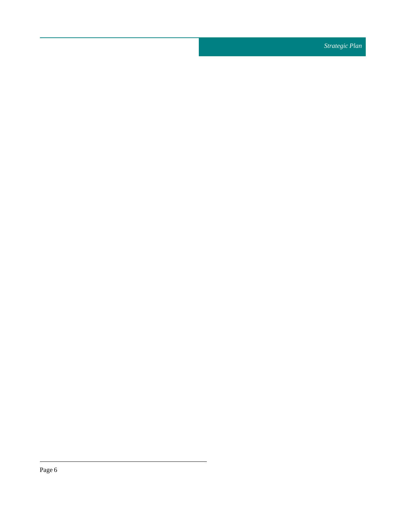*Strategic Plan*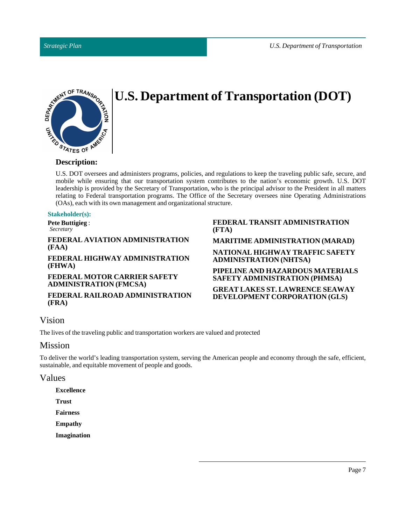

# **U.S. Department of Transportation (DOT)**

## **Description:**

U.S. DOT oversees and administers programs, policies, and regulations to keep the traveling public safe, secure, and mobile while ensuring that our transportation system contributes to the nation's economic growth. U.S. DOT leadership is provided by the Secretary of Transportation, who is the principal advisor to the President in all matters relating to Federal transportation programs. The Office of the Secretary oversees nine Operating Administrations (OAs), each with its own management and organizational structure.

#### **Stakeholder(s):**

**Pete Buttigieg** : *Secretary*

## **FEDERAL AVIATION ADMINISTRATION (FAA)**

#### **FEDERAL HIGHWAY ADMINISTRATION (FHWA)**

#### **FEDERAL MOTOR CARRIER SAFETY ADMINISTRATION (FMCSA)**

## **FEDERAL RAILROAD ADMINISTRATION (FRA)**

### **FEDERAL TRANSIT ADMINISTRATION (FTA)**

**MARITIME ADMINISTRATION (MARAD)**

**NATIONAL HIGHWAY TRAFFIC SAFETY ADMINISTRATION (NHTSA)**

**PIPELINE AND HAZARDOUS MATERIALS SAFETY ADMINISTRATION (PHMSA)**

**GREAT LAKES ST. LAWRENCE SEAWAY DEVELOPMENT CORPORATION (GLS)**

## <span id="page-6-0"></span>Vision

The lives of the traveling public and transportation workers are valued and protected

## <span id="page-6-1"></span>Mission

To deliver the world's leading transportation system, serving the American people and economy through the safe, efficient, sustainable, and equitable movement of people and goods.

## <span id="page-6-2"></span>Values

- **Excellence**
- **Trust**
- **Fairness**
- **Empathy**
- **Imagination**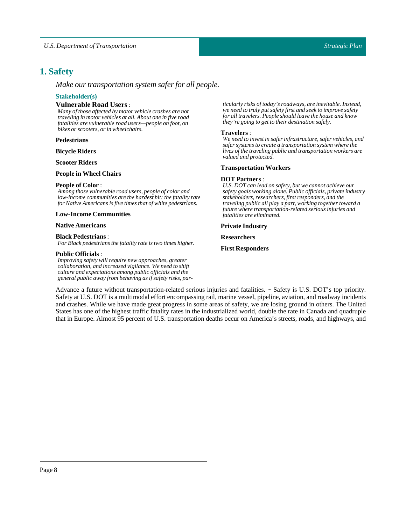## <span id="page-7-0"></span>**1. Safety**

*Make our transportation system safer for all people.*

#### **Stakeholder(s)**

#### **Vulnerable Road Users**:

*Many of those affected by motor vehicle crashes are not traveling in motor vehicles at all. About one in five road fatalities are vulnerable road users—people on foot, on bikes or scooters, or in wheelchairs.*

#### **Pedestrians**

**Bicycle Riders**

#### **Scooter Riders**

**People in Wheel Chairs**

#### **People of Color** :

*Among those vulnerable road users, people of color and low-income communities are the hardest hit: the fatality rate for Native Americans is five times that of white pedestrians.*

#### **Low-Income Communities**

#### **Native Americans**

**Black Pedestrians**:

*For Black pedestrians the fatality rate is two times higher.*

#### **Public Officials** :

*Improving safety will require new approaches, greater collaboration, and increased vigilance. We need to shift culture and expectations among public officials and the general public away from behaving as if safety risks, par-*

*ticularly risks of today's roadways, are inevitable. Instead, we need to truly put safety first and seek to improve safety for all travelers. People should leave the house and know they're going to get to their destination safely.*

#### **Travelers** :

*We need to invest in safer infrastructure, safer vehicles, and safer systems to create a transportation system where the lives of the traveling public and transportation workers are valued and protected.*

#### **Transportation Workers**

#### **DOT Partners**:

*U.S. DOT can lead on safety, but we cannot achieve our safety goals working alone. Public officials, private industry stakeholders, researchers, first responders, and the traveling public all play a part, working together toward a future where transportation-related serious injuries and fatalities are eliminated.*

**Private Industry**

**Researchers**

#### **First Responders**

Advance a future without transportation-related serious injuries and fatalities. ~ Safety is U.S. DOT's top priority. Safety at U.S. DOT is a multimodal effort encompassing rail, marine vessel, pipeline, aviation, and roadway incidents and crashes. While we have made great progress in some areas of safety, we are losing ground in others. The United States has one of the highest traffic fatality rates in the industrialized world, double the rate in Canada and quadruple that in Europe. Almost 95 percent of U.S. transportation deaths occur on America's streets, roads, and highways, and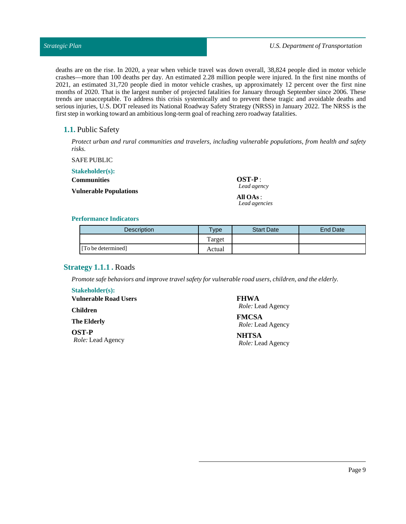deaths are on the rise. In 2020, a year when vehicle travel was down overall, 38,824 people died in motor vehicle crashes—more than 100 deaths per day. An estimated 2.28 million people were injured. In the first nine months of 2021, an estimated 31,720 people died in motor vehicle crashes, up approximately 12 percent over the first nine months of 2020. That is the largest number of projected fatalities for January through September since 2006. These trends are unacceptable. To address this crisis systemically and to prevent these tragic and avoidable deaths and serious injuries, U.S. DOT released its National Roadway Safety Strategy (NRSS) in January 2022. The NRSS is the first step in working toward an ambitious long-term goal of reaching zero roadway fatalities.

### <span id="page-8-0"></span>**1.1.** Public Safety

*Protect urban and rural communities and travelers, including vulnerable populations, from health and safety risks.*

SAFE PUBLIC

**Stakeholder(s):**

**Communities**

**Vulnerable Populations**

**OST-P** : *Lead agency*

**All OAs**: *Lead agencies*

#### **Performance Indicators**

| Description             | $T$ <sub>V</sub> $pe$ | <b>Start Date</b> | <b>End Date</b> |
|-------------------------|-----------------------|-------------------|-----------------|
|                         | Target                |                   |                 |
| <b>To be determined</b> | Actual                |                   |                 |

## <span id="page-8-1"></span>**Strategy 1.1.1 .** Roads

*Promote safe behaviors and improve travel safety for vulnerable road users, children, and the elderly.*

#### **Stakeholder(s):**

**Vulnerable Road Users**

#### **Children**

**The Elderly**

**OST-P** *Role:* Lead Agency **FHWA** *Role:* Lead Agency

**FMCSA** *Role:* Lead Agency

### **NHTSA**

*Role:* Lead Agency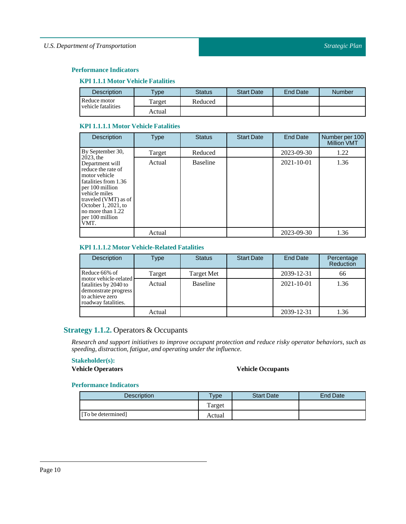### **KPI 1.1.1 Motor Vehicle Fatalities**

| <b>Description</b> | $T$ <sub>V</sub> $pe$ | Status  | <b>Start Date</b> | <b>End Date</b> | Number |
|--------------------|-----------------------|---------|-------------------|-----------------|--------|
| Reduce motor       | Target                | Reduced |                   |                 |        |
| vehicle fatalities | Actual                |         |                   |                 |        |

#### **KPI 1.1.1.1 Motor Vehicle Fatalities**

| Description                                                                                                                                                                                                                       | <b>Type</b> | <b>Status</b>   | <b>Start Date</b> | <b>End Date</b>  | Number per 100<br><b>Million VMT</b> |
|-----------------------------------------------------------------------------------------------------------------------------------------------------------------------------------------------------------------------------------|-------------|-----------------|-------------------|------------------|--------------------------------------|
| By September 30,                                                                                                                                                                                                                  | Target      | Reduced         |                   | 2023-09-30       | 1.22                                 |
| $2023$ , the<br>Department will<br>reduce the rate of<br>motor vehicle<br>fatalities from 1.36<br>per 100 million<br>vehicle miles<br>traveled (VMT) as of<br>October 1, 2021, to<br>no more than 1.22<br>per 100 million<br>VMT. | Actual      | <b>Baseline</b> |                   | $2021 - 10 - 01$ | 1.36                                 |
|                                                                                                                                                                                                                                   | Actual      |                 |                   | 2023-09-30       | 1.36                                 |

## **KPI 1.1.1.2 Motor Vehicle-Related Fatalities**

| <b>Description</b>                                                                                               | Type   | <b>Status</b>   | <b>Start Date</b> | <b>End Date</b>  | Percentage<br><b>Reduction</b> |
|------------------------------------------------------------------------------------------------------------------|--------|-----------------|-------------------|------------------|--------------------------------|
| Reduce 66% of                                                                                                    | Target | Target Met      |                   | 2039-12-31       | 66                             |
| motor vehicle-related<br>fatalities by 2040 to<br>demonstrate progress<br>to achieve zero<br>roadway fatalities. | Actual | <b>Baseline</b> |                   | $2021 - 10 - 01$ | 1.36                           |
|                                                                                                                  | Actual |                 |                   | 2039-12-31       | 1.36                           |

## <span id="page-9-0"></span>**Strategy 1.1.2.** Operators & Occupants

*Research and support initiatives to improve occupant protection and reduce risky operator behaviors, such as speeding, distraction,fatigue, and operating under the influence.*

# **Stakeholder(s):**

#### **Vehicle Operators Vehicle Occupants**

| <b>Description</b> | <b>Type</b> | <b>Start Date</b> | <b>End Date</b> |
|--------------------|-------------|-------------------|-----------------|
|                    | Target      |                   |                 |
| [To be determined] | Actual      |                   |                 |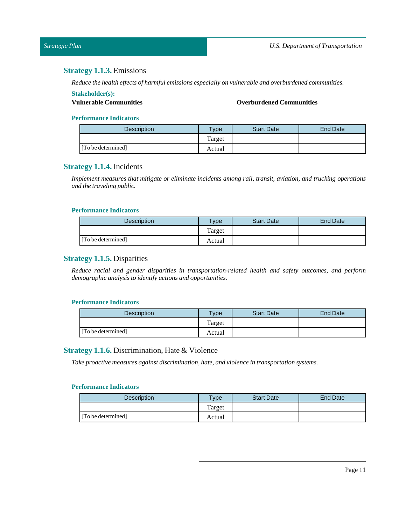## <span id="page-10-0"></span>**Strategy 1.1.3.** Emissions

*Reduce the health effects of harmful emissions especially on vulnerable and overburdened communities.*

## **Stakeholder(s):**

### **Vulnerable Communities Overburdened Communities**

#### **Performance Indicators**

| <b>Description</b> | $T$ <sub>V</sub> pe | <b>Start Date</b> | End Date |
|--------------------|---------------------|-------------------|----------|
|                    | Target              |                   |          |
| [To be determined] | Actual              |                   |          |

## <span id="page-10-1"></span>**Strategy 1.1.4.** Incidents

*Implement measures that mitigate or eliminate incidents among rail, transit, aviation, and trucking operations and the traveling public.*

#### **Performance Indicators**

| <b>Description</b> | Type   | <b>Start Date</b> | End Date |
|--------------------|--------|-------------------|----------|
|                    | Target |                   |          |
| [To be determined] | Actual |                   |          |

## <span id="page-10-2"></span>**Strategy 1.1.5.** Disparities

*Reduce racial and gender disparities in transportation-related health and safety outcomes, and perform demographic analysis to identify actions and opportunities.*

#### **Performance Indicators**

| <b>Description</b> | $T$ ype | <b>Start Date</b> | End Date |
|--------------------|---------|-------------------|----------|
|                    | Target  |                   |          |
| [To be determined] | Actual  |                   |          |

## <span id="page-10-3"></span>**Strategy 1.1.6.** Discrimination, Hate & Violence

*Take proactive measures against discrimination, hate, and violence in transportation systems.*

| <b>Description</b> | $v_{\rm p}$ | <b>Start Date</b> | End Date |
|--------------------|-------------|-------------------|----------|
|                    | Target      |                   |          |
| [To be determined] | Actual      |                   |          |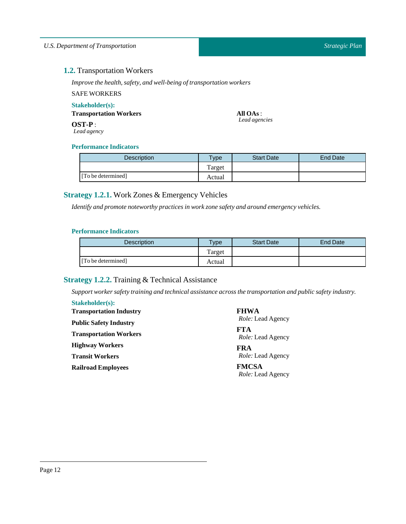## <span id="page-11-0"></span>**1.2.** Transportation Workers

*Improve the health, safety, and well-being oftransportation workers*

SAFE WORKERS

#### **Stakeholder(s):**

**Transportation Workers**

**OST-P** : *Lead agency* **All OAs**: *Lead agencies*

### **Performance Indicators**

| <b>Description</b> | Type   | <b>Start Date</b> | End Date |
|--------------------|--------|-------------------|----------|
|                    | Target |                   |          |
| [To be determined] | Actual |                   |          |

## <span id="page-11-1"></span>**Strategy 1.2.1.** Work Zones & Emergency Vehicles

*Identify and promote noteworthy practices in work zone safety and around emergency vehicles.*

### **Performance Indicators**

| <b>Description</b> | <b>Type</b> | <b>Start Date</b> | End Date |
|--------------------|-------------|-------------------|----------|
|                    | Target      |                   |          |
| [To be determined] | Actual      |                   |          |

## <span id="page-11-2"></span>**Strategy 1.2.2.** Training & Technical Assistance

*Support worker safety training and technical assistance across the transportation and public safety industry.*

### **Stakeholder(s):**

- **Transportation Industry PublicSafety Industry Transportation Workers**
- **Highway Workers**

**Transit Workers**

**Railroad Employees**

## **FHWA**

*Role:* Lead Agency

**FTA** *Role:* Lead Agency

**FRA** *Role:* Lead Agency

**FMCSA** *Role:* Lead Agency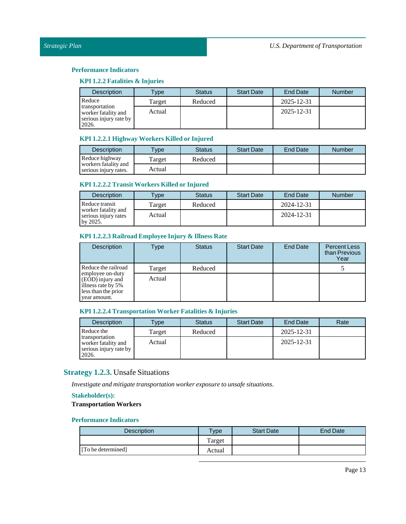## **KPI 1.2.2 Fatalities & Injuries**

| <b>Description</b>                                                       | Type   | <b>Status</b> | <b>Start Date</b> | <b>End Date</b> | <b>Number</b> |
|--------------------------------------------------------------------------|--------|---------------|-------------------|-----------------|---------------|
| Reduce                                                                   | Target | Reduced       |                   | 2025-12-31      |               |
| transportation<br>worker fatality and<br>serious injury rate by<br>2026. | Actual |               |                   | 2025-12-31      |               |

## **KPI 1.2.2.1 Highway Workers Killedor Injured**

| <b>Description</b>                            | $T$ vpe | Status  | <b>Start Date</b> | <b>End Date</b> | Number |
|-----------------------------------------------|---------|---------|-------------------|-----------------|--------|
| Reduce highway                                | Target  | Reduced |                   |                 |        |
| workers fatality and<br>serious injury rates. | Actual  |         |                   |                 |        |

#### **KPI 1.2.2.2 Transit Workers Killedor Injured**

| <b>Description</b>                                                    | Type   | <b>Status</b> | <b>Start Date</b> | <b>End Date</b> | <b>Number</b> |
|-----------------------------------------------------------------------|--------|---------------|-------------------|-----------------|---------------|
| Reduce transit                                                        | Target | Reduced       |                   | 2024-12-31      |               |
| worker fatality and<br>serious injury rates<br>$\frac{1}{2}$ by 2025. | Actual |               |                   | 2024-12-31      |               |

#### **KPI 1.2.2.3 Railroad Employee Injury & Illness Rate**

| <b>Description</b>                                                                                | Type   | <b>Status</b> | <b>Start Date</b> | <b>End Date</b> | <b>Percent Less</b><br>than Previous<br>Year |
|---------------------------------------------------------------------------------------------------|--------|---------------|-------------------|-----------------|----------------------------------------------|
| Reduce the railroad                                                                               | Target | Reduced       |                   |                 |                                              |
| employee on-duty<br>(EOD) injury and<br>illness rate by 5%<br>less than the prior<br>vear amount. | Actual |               |                   |                 |                                              |

#### **KPI 1.2.2.4 Transportation Worker Fatalities & Injuries**

| <b>Description</b>                                                       | Type   | <b>Status</b> | <b>Start Date</b> | End Date   | Rate |
|--------------------------------------------------------------------------|--------|---------------|-------------------|------------|------|
| Reduce the                                                               | Target | Reduced       |                   | 2025-12-31 |      |
| transportation<br>worker fatality and<br>serious injury rate by<br>2026. | Actual |               |                   | 2025-12-31 |      |

## <span id="page-12-0"></span>**Strategy 1.2.3.** Unsafe Situations

*Investigate and mitigate transportation worker exposure to unsafe situations.*

#### **Stakeholder(s):**

#### **Transportation Workers**

| <b>Description</b> | vpe    | <b>Start Date</b> | <b>End Date</b> |
|--------------------|--------|-------------------|-----------------|
|                    | Target |                   |                 |
| [To be determined] | Actual |                   |                 |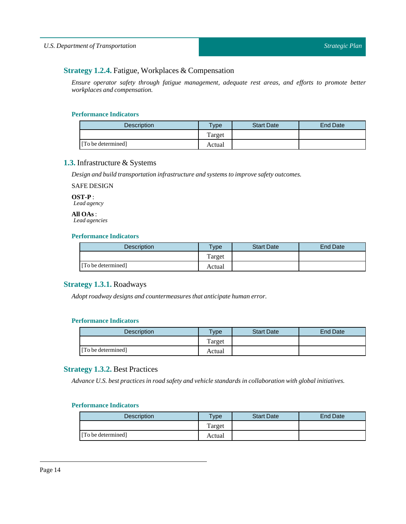## <span id="page-13-0"></span>**Strategy 1.2.4.** Fatigue, Workplaces & Compensation

*Ensure operator safety through fatigue management, adequate rest areas, and efforts to promote better workplaces and compensation.*

## **Performance Indicators**

| <b>Description</b> | <b>Type</b> | <b>Start Date</b> | End Date |
|--------------------|-------------|-------------------|----------|
|                    | l'arget     |                   |          |
| [To be determined] | Actual      |                   |          |

## <span id="page-13-1"></span>**1.3.** Infrastructure & Systems

*Design and build transportation infrastructure and systems to improve safety outcomes.*

#### SAFE DESIGN

**OST-P** :

*Lead agency*

**All OAs**: *Lead agencies*

#### **Performance Indicators**

| <b>Description</b> | $T$ vpe | <b>Start Date</b> | <b>End Date</b> |
|--------------------|---------|-------------------|-----------------|
|                    | Target  |                   |                 |
| [To be determined] | Actual  |                   |                 |

## <span id="page-13-2"></span>**Strategy 1.3.1.** Roadways

*Adopt roadway designs and countermeasures that anticipate human error.*

#### **Performance Indicators**

| <b>Description</b> | $T$ <sub>ype</sub> | <b>Start Date</b> | <b>End Date</b> |
|--------------------|--------------------|-------------------|-----------------|
|                    | Target             |                   |                 |
| [To be determined] | Actual             |                   |                 |

## <span id="page-13-3"></span>**Strategy 1.3.2.** Best Practices

*Advance U.S. best practices in road safety and vehicle standards in collaboration with globalinitiatives.*

| <b>Description</b> | <b>Type</b> | <b>Start Date</b> | End Date |
|--------------------|-------------|-------------------|----------|
|                    | Target      |                   |          |
| [To be determined] | Actual      |                   |          |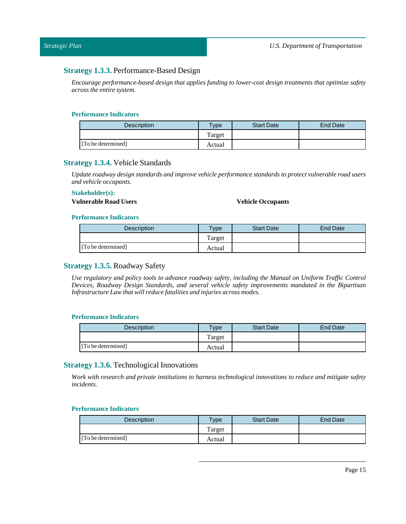## <span id="page-14-0"></span>**Strategy 1.3.3.** Performance-Based Design

*Encourage performance-based design that applies funding to lower-cost design treatments that optimize safety across the entire system.*

#### **Performance Indicators**

| <b>Description</b> | <b>Type</b> | <b>Start Date</b> | End Date |
|--------------------|-------------|-------------------|----------|
|                    | Target      |                   |          |
| [To be determined] | Actual      |                   |          |

### <span id="page-14-1"></span>**Strategy 1.3.4.** Vehicle Standards

*Update roadway design standards and improve vehicle performance standards to protect vulnerable road users and vehicle occupants.*

#### **Stakeholder(s):**

**Vulnerable Road Users Vehicle Occupants**

#### **Performance Indicators**

| Description        | $T$ <sub>ype</sub> | <b>Start Date</b> | <b>End Date</b> |
|--------------------|--------------------|-------------------|-----------------|
|                    | Target             |                   |                 |
| [To be determined] | Actual             |                   |                 |

## <span id="page-14-2"></span>**Strategy 1.3.5.** Roadway Safety

*Use regulatory and policy tools to advance roadway safety, including the Manual on Uniform Traffic Control Devices, Roadway Design Standards, and several vehicle safety improvements mandated in the Bipartisan InfrastructureLaw that will reduce fatalities and injuries across modes.*

#### **Performance Indicators**

| <b>Description</b> | Type   | <b>Start Date</b> | End Date |
|--------------------|--------|-------------------|----------|
|                    | Target |                   |          |
| [To be determined] | Actual |                   |          |

### <span id="page-14-3"></span>**Strategy 1.3.6.** Technological Innovations

*Work with research and private institutions to harness technological innovations to reduce and mitigate safety incidents.*

| <b>Description</b> | <b>Type</b> | <b>Start Date</b> | End Date |
|--------------------|-------------|-------------------|----------|
|                    | Target      |                   |          |
| [To be determined] | Actual      |                   |          |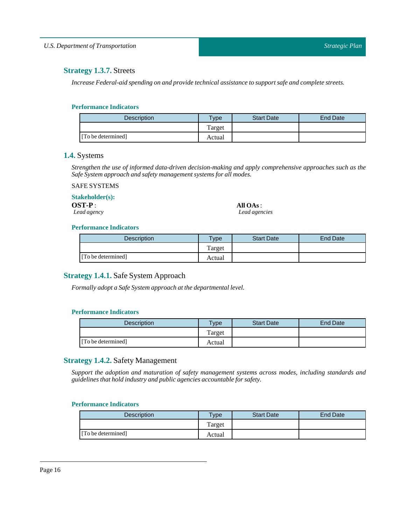## <span id="page-15-0"></span>**Strategy 1.3.7.** Streets

*Increase Federal-aid spending on and provide technical assistance to support safe and complete streets.*

## **Performance Indicators**

| <b>Description</b> | $T$ ype | <b>Start Date</b> | End Date |
|--------------------|---------|-------------------|----------|
|                    | Target  |                   |          |
| [To be determined] | Actual  |                   |          |

## <span id="page-15-1"></span>**1.4.** Systems

*Strengthen the use of informed data-driven decision-making and apply comprehensive approaches such as the Safe System approach and safety management systems for all modes.*

## SAFE SYSTEMS

**Stakeholder(s): OST-P** :

*Lead agency*

**All OAs**: *Lead agencies*

#### **Performance Indicators**

| <b>Description</b> | $T$ <sub>ype</sub> | <b>Start Date</b> | End Date |
|--------------------|--------------------|-------------------|----------|
|                    | Target             |                   |          |
| [To be determined] | Actual             |                   |          |

## <span id="page-15-2"></span>**Strategy 1.4.1.** Safe System Approach

*Formally adopt a Safe System approach atthe departmentallevel.*

### **Performance Indicators**

| <b>Description</b> | <b>Vpe</b> | <b>Start Date</b> | End Date |
|--------------------|------------|-------------------|----------|
|                    | Target     |                   |          |
| [To be determined] | Actual     |                   |          |

## <span id="page-15-3"></span>**Strategy 1.4.2.** Safety Management

*Support the adoption and maturation of safety management systems across modes, including standards and guidelines that hold industry and public agencies accountable for safety.*

| <b>Description</b> | <b>Type</b> | <b>Start Date</b> | End Date |
|--------------------|-------------|-------------------|----------|
|                    | Target      |                   |          |
| [To be determined] | Actual      |                   |          |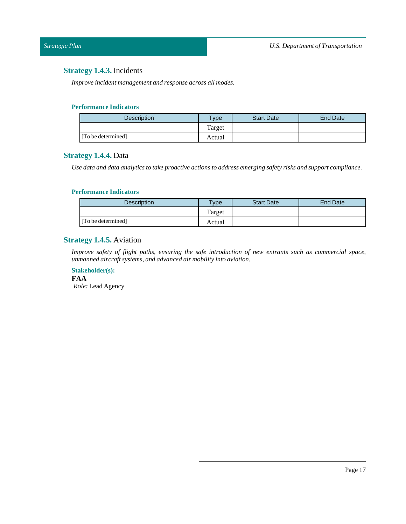## <span id="page-16-0"></span>**Strategy 1.4.3.** Incidents

*Improve incident management and response across all modes.*

#### **Performance Indicators**

| <b>Description</b> | $T$ <sub>V</sub> $pe$ | <b>Start Date</b> | End Date |
|--------------------|-----------------------|-------------------|----------|
|                    | Target                |                   |          |
| [To be determined] | Actual                |                   |          |

## <span id="page-16-1"></span>**Strategy 1.4.4.** Data

Use data and data analytics to take proactive actions to address emerging safety risks and support compliance.

#### **Performance Indicators**

| <b>Description</b> | Type   | <b>Start Date</b> | End Date |
|--------------------|--------|-------------------|----------|
|                    | Target |                   |          |
| [To be determined] | Actual |                   |          |

## <span id="page-16-2"></span>**Strategy 1.4.5.** Aviation

*Improve safety of flight paths, ensuring the safe introduction of new entrants such as commercial space, unmanned aircraft systems, and advanced air mobility into aviation.*

#### **Stakeholder(s):**

**FAA** *Role:* Lead Agency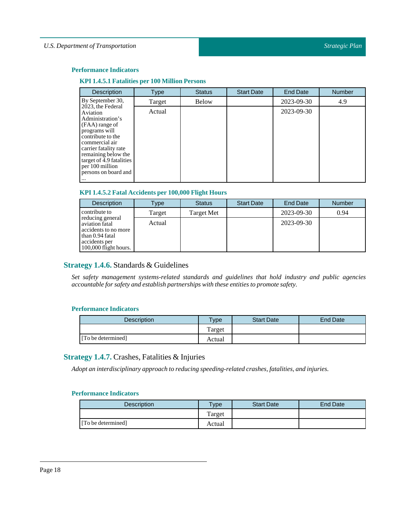### **KPI 1.4.5.1 Fatalitiesper 100 Million Persons**

| Description                                                                                                                                                                                                                                                    | Type   | <b>Status</b> | <b>Start Date</b> | <b>End Date</b> | <b>Number</b> |
|----------------------------------------------------------------------------------------------------------------------------------------------------------------------------------------------------------------------------------------------------------------|--------|---------------|-------------------|-----------------|---------------|
| By September 30,                                                                                                                                                                                                                                               | Target | <b>Below</b>  |                   | 2023-09-30      | 4.9           |
| 2023, the Federal<br>Aviation<br>Administration's<br>(FAA) range of<br>programs will<br>contribute to the<br>commercial air<br>carrier fatality rate<br>remaining below the<br>target of 4.9 fatalities<br>per 100 million<br>persons on board and<br>$\cdots$ | Actual |               |                   | 2023-09-30      |               |

### **KPI 1.4.5.2 Fatal Accidentsper 100,000 Flight Hours**

| <b>Description</b>                                                                                                      | Type   | <b>Status</b> | <b>Start Date</b> | <b>End Date</b> | <b>Number</b> |
|-------------------------------------------------------------------------------------------------------------------------|--------|---------------|-------------------|-----------------|---------------|
| contribute to                                                                                                           | Target | Target Met    |                   | 2023-09-30      | 0.94          |
| reducing general<br>aviation fatal<br>accidents to no more<br>than 0.94 fatal<br>accidents per<br>100,000 flight hours. | Actual |               |                   | 2023-09-30      |               |

## <span id="page-17-0"></span>**Strategy 1.4.6.** Standards & Guidelines

*Set safety management systems-related standards and guidelines that hold industry and public agencies accountable for safety and establish partnerships with these entities to promote safety.*

### **Performance Indicators**

| <b>Description</b> | $T$ ype | <b>Start Date</b> | End Date |
|--------------------|---------|-------------------|----------|
|                    | Target  |                   |          |
| [To be determined] | Actual  |                   |          |

## <span id="page-17-1"></span>**Strategy 1.4.7.** Crashes, Fatalities & Injuries

*Adopt an interdisciplinary approach to reducing speeding-related crashes,fatalities, and injuries.*

| <b>Description</b> | vpe    | <b>Start Date</b> | End Date |
|--------------------|--------|-------------------|----------|
|                    | Target |                   |          |
| [To be determined] | Actual |                   |          |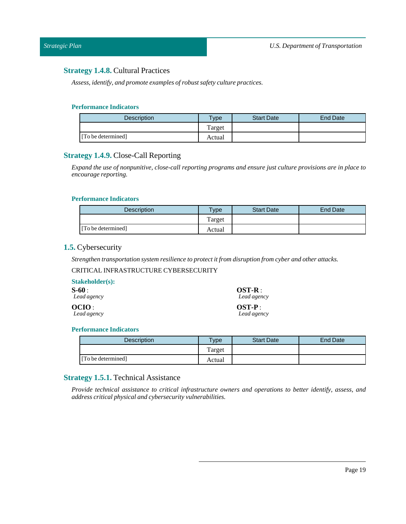## <span id="page-18-0"></span>**Strategy 1.4.8.** Cultural Practices

*Assess,identify, and promote examples of robust safety culture practices.*

#### **Performance Indicators**

| <b>Description</b> | $v$ pe | <b>Start Date</b> | <b>End Date</b> |
|--------------------|--------|-------------------|-----------------|
|                    | Target |                   |                 |
| [To be determined] | Actual |                   |                 |

## <span id="page-18-1"></span>**Strategy 1.4.9.** Close-Call Reporting

Expand the use of nonpunitive, close-call reporting programs and ensure just culture provisions are in place to *encourage reporting.*

#### **Performance Indicators**

| <b>Description</b> | $v$ pe | <b>Start Date</b> | End Date |
|--------------------|--------|-------------------|----------|
|                    | Target |                   |          |
| [To be determined] | Actual |                   |          |

## <span id="page-18-2"></span>**1.5.** Cybersecurity

*Strengthen transportation system resilience to protectitfrom disruption from cyber and other attacks.*

#### CRITICAL INFRASTRUCTURE CYBERSECURITY

#### **Stakeholder(s):**

**S-60** : *Lead agency*

**OCIO** :

*Lead agency*

**OST-R** :

*Lead agency*

**OST-P** : *Lead agency*

#### **Performance Indicators**

| <b>Description</b> | $T$ ype | <b>Start Date</b> | End Date |
|--------------------|---------|-------------------|----------|
|                    | Target  |                   |          |
| [To be determined] | Actual  |                   |          |

## <span id="page-18-3"></span>**Strategy 1.5.1.** Technical Assistance

*Provide technical assistance to critical infrastructure owners and operations to better identify, assess, and address critical physical and cybersecurity vulnerabilities.*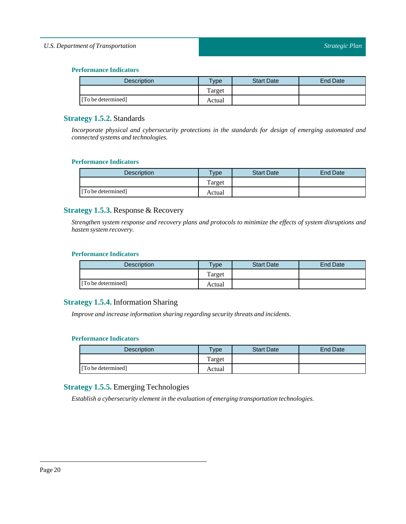## *U.S. Department ofTransportation*

### **Performance Indicators**

| <b>Description</b> | Type   | <b>Start Date</b> | <b>End Date</b> |
|--------------------|--------|-------------------|-----------------|
|                    | Target |                   |                 |
| [To be determined] | Actual |                   |                 |

## <span id="page-19-0"></span>**Strategy 1.5.2.** Standards

*Incorporate physical and cybersecurity protections in the standards for design of emerging automated and connected systems and technologies.*

## **Performance Indicators**

| <b>Description</b> | <b>Vpe</b> | <b>Start Date</b> | End Date |
|--------------------|------------|-------------------|----------|
|                    | Target     |                   |          |
| [To be determined] | Actual     |                   |          |

## <span id="page-19-1"></span>**Strategy 1.5.3.** Response & Recovery

*Strengthen system response and recovery plans and protocols to minimize the effects of system disruptions and hasten system recovery.*

#### **Performance Indicators**

| <b>Description</b> | $T$ <sub>V</sub> pe | <b>Start Date</b> | <b>End Date</b> |
|--------------------|---------------------|-------------------|-----------------|
|                    | Target              |                   |                 |
| [To be determined] | Actual              |                   |                 |

## <span id="page-19-2"></span>**Strategy 1.5.4.** Information Sharing

*Improve and increase information sharing regarding security threats and incidents.*

## **Performance Indicators**

| <b>Description</b> | $T$ <sub>V</sub> $pe$ | <b>Start Date</b> | End Date |
|--------------------|-----------------------|-------------------|----------|
|                    | Target                |                   |          |
| [To be determined] | Actual                |                   |          |

## <span id="page-19-3"></span>**Strategy 1.5.5.** Emerging Technologies

*Establish a cybersecurity elementin the evaluation of emerging transportation technologies.*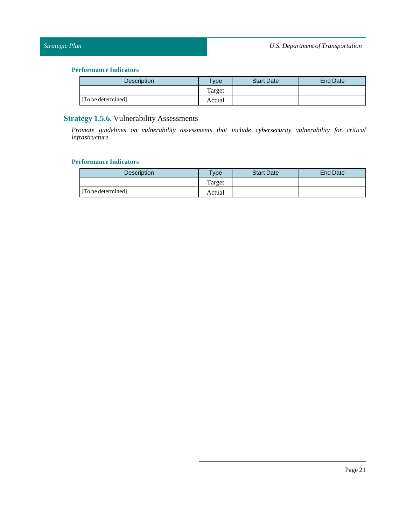## *Strategic Plan*

#### **Performance Indicators**

| <b>Description</b> | $T$ ype | <b>Start Date</b> | End Date |
|--------------------|---------|-------------------|----------|
|                    | Target  |                   |          |
| [To be determined] | Actual  |                   |          |

## <span id="page-20-0"></span>**Strategy 1.5.6.** Vulnerability Assessments

*Promote guidelines on vulnerability assessments that include cybersecurity vulnerability for critical infrastructure.*

| Description        | <b>Vpe</b> | <b>Start Date</b> | <b>End Date</b> |
|--------------------|------------|-------------------|-----------------|
|                    | Target     |                   |                 |
| [To be determined] | Actual     |                   |                 |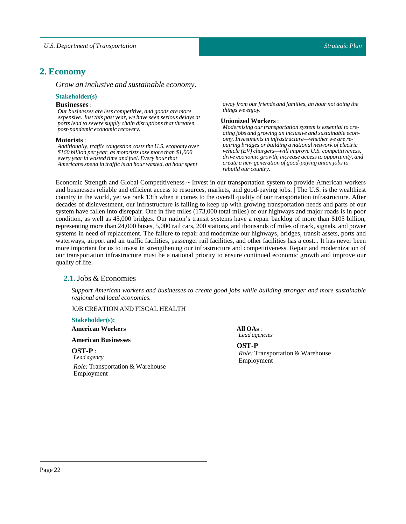## <span id="page-21-0"></span>PLACEHOLDER\_44 **2. Economy**

*Grow an inclusive and sustainable economy.*

#### **Stakeholder(s)**

#### **Businesses** :

*Our businesses are less competitive, and goods are more expensive. Just this past year, we have seen serious delays at ports lead to severe supply chain disruptions that threaten post-pandemic economic recovery.*

#### **Motorists** :

*Additionally, traffic congestion costs the U.S. economy over \$160 billion per year, as motorists lose more than \$1,000 every year in wasted time and fuel. Every hour that Americans spend in traffic is an hour wasted, an hour spent*

*away from our friends and families, an hour not doing the things we enjoy.*

#### **Unionized Workers** :

*Modernizing our transportation system is essential to creating jobs and growing an inclusive and sustainable economy. Investments in infrastructure—whether we are repairing bridges or building a national network of electric vehicle (EV) chargers—will improve U.S. competitiveness, drive economic growth, increase access to opportunity, and create a new generation of good-paying union jobs to rebuild our country.*

Economic Strength and Global Competitiveness ~ Invest in our transportation system to provide American workers and businesses reliable and efficient access to resources, markets, and good-paying jobs. | The U.S. is the wealthiest country in the world, yet we rank 13th when it comes to the overall quality of our transportation infrastructure. After decades of disinvestment, our infrastructure is failing to keep up with growing transportation needs and parts of our system have fallen into disrepair. One in five miles (173,000 total miles) of our highways and major roads is in poor condition, as well as 45,000 bridges. Our nation's transit systems have a repair backlog of more than \$105 billion, representing more than 24,000 buses, 5,000 rail cars, 200 stations, and thousands of miles of track, signals, and power systems in need of replacement. The failure to repair and modernize our highways, bridges, transit assets, ports and waterways, airport and air traffic facilities, passenger rail facilities, and other facilities has a cost... It has never been more important for us to invest in strengthening our infrastructure and competitiveness. Repair and modernization of our transportation infrastructure must be a national priority to ensure continued economic growth and improve our quality of life.

### <span id="page-21-1"></span>**2.1.** Jobs & Economies

*Support American workers and businesses to create good jobs while building stronger and more sustainable regional and local economies.*

JOB CREATION AND FISCAL HEALTH

**Stakeholder(s):**

**American Workers**

**American Businesses**

**OST-P** : *Lead agency Role:* Transportation & Warehouse Employment

**All OAs**: *Lead agencies*

**OST-P** *Role:* Transportation & Warehouse Employment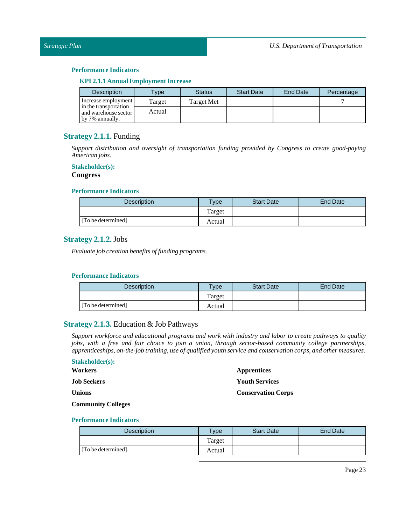#### **KPI 2.1.1 Annual Employment Increase**

| <b>Description</b>                                               | <b>Type</b> | <b>Status</b> | <b>Start Date</b> | End Date | Percentage |
|------------------------------------------------------------------|-------------|---------------|-------------------|----------|------------|
| Increase employment                                              | Target      | Target Met    |                   |          |            |
| in the transportation<br>and warehouse sector<br>by 7% annually. | Actual      |               |                   |          |            |

## <span id="page-22-0"></span>**Strategy 2.1.1.** Funding

*Support distribution and oversight of transportation funding provided by Congress to create good-paying American jobs.*

#### **Stakeholder(s):**

#### **Congress**

#### **Performance Indicators**

| <b>Description</b> | $v$ pe | <b>Start Date</b> | <b>End Date</b> |
|--------------------|--------|-------------------|-----------------|
|                    | Target |                   |                 |
| [To be determined] | Actual |                   |                 |

## <span id="page-22-1"></span>**Strategy 2.1.2.** Jobs

*Evaluate job creation benefits offunding programs.*

#### **Performance Indicators**

| Description        | $v$ pe | <b>Start Date</b> | <b>End Date</b> |
|--------------------|--------|-------------------|-----------------|
|                    | Target |                   |                 |
| [To be determined] | Actual |                   |                 |

### <span id="page-22-2"></span>**Strategy 2.1.3.** Education & Job Pathways

*Support workforce and educational programs and work with industry and labor to create pathways to quality jobs, with a free and fair choice to join a union, through sector-based community college partnerships, apprenticeships, on-the-job training, use of qualified youth service and conservation corps, and other measures.*

| <b>Apprentices</b>        |
|---------------------------|
| <b>Youth Services</b>     |
| <b>Conservation Corps</b> |
|                           |

**Community Colleges**

| <b>Description</b> | vpe    | <b>Start Date</b> | End Date |
|--------------------|--------|-------------------|----------|
|                    | Target |                   |          |
| [To be determined] | Actual |                   |          |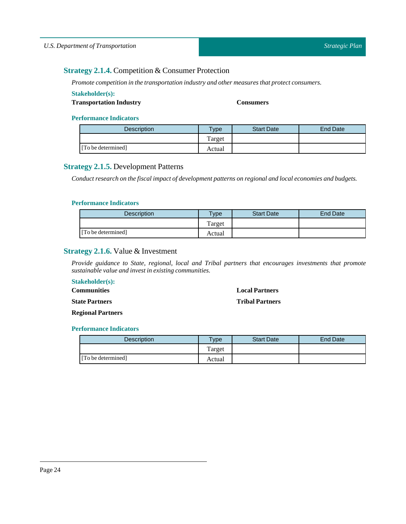## <span id="page-23-0"></span>**Strategy 2.1.4.** Competition & Consumer Protection

*Promote competition in the transportation industry and other measures that protect consumers.*

#### **Stakeholder(s):**

**Transportation Industry Consumers** 

#### **Performance Indicators**

| <b>Description</b> | $T$ <sub>V</sub> $pe$ | <b>Start Date</b> | End Date |
|--------------------|-----------------------|-------------------|----------|
|                    | Target                |                   |          |
| [To be determined] | Actual                |                   |          |

## <span id="page-23-1"></span>**Strategy 2.1.5.** Development Patterns

*Conduct research on the fiscalimpact of development patterns on regional and local economies and budgets.*

#### **Performance Indicators**

| <b>Description</b> | $v_{\rm p}$ | <b>Start Date</b> | End Date |
|--------------------|-------------|-------------------|----------|
|                    | Target      |                   |          |
| [To be determined] | Actual      |                   |          |

## <span id="page-23-2"></span>**Strategy 2.1.6.** Value & Investment

*Provide guidance to State, regional, local and Tribal partners that encourages investments that promote sustainable value and investin existing communities.*

#### **Stakeholder(s):**

### **Communities**

**State Partners**

**Local Partners**

## **Tribal Partners**

**Regional Partners**

| <b>Description</b> | <b>Type</b> | <b>Start Date</b> | End Date |
|--------------------|-------------|-------------------|----------|
|                    | Target      |                   |          |
| [To be determined] | Actual      |                   |          |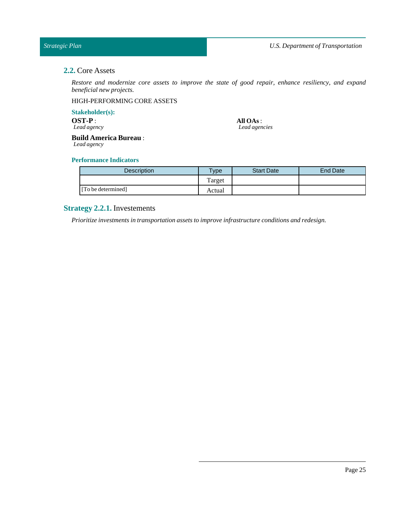*U.S. Department ofTransportation*

## <span id="page-24-0"></span>*Strategic Plan*

## **2.2.** Core Assets

*Restore and modernize core assets to improve the state of good repair, enhance resiliency, and expand beneficial new projects.*

HIGH-PERFORMING CORE ASSETS

**Stakeholder(s): OST-P** : *Lead agency*

**All OAs**: *Lead agencies*

**Build America Bureau** :

*Lead agency*

## **Performance Indicators**

| <b>Description</b> | Type   | <b>Start Date</b> | End Date |
|--------------------|--------|-------------------|----------|
|                    | Target |                   |          |
| [To be determined] | Actual |                   |          |

## <span id="page-24-1"></span>**Strategy 2.2.1.** Investements

*Prioritize investments in transportation assets to improve infrastructure conditions and redesign.*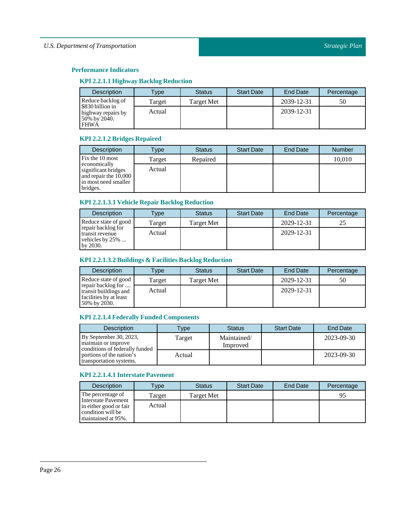## *U.S. Department ofTransportation*

## **Performance Indicators**

## **KPI 2.2.1.1 Highway Backlog Reduction**

| <b>Description</b>                                                    | <b>Type</b> | <b>Status</b>     | <b>Start Date</b> | <b>End Date</b> | Percentage |
|-----------------------------------------------------------------------|-------------|-------------------|-------------------|-----------------|------------|
| Reduce backlog of                                                     | Target      | <b>Target Met</b> |                   | 2039-12-31      | 50         |
| \$830 billion in<br>highway repairs by<br>50% by 2040.<br><b>FHWA</b> | Actual      |                   |                   | 2039-12-31      |            |

## **KPI 2.2.1.2 Bridges Repaired**

| <b>Description</b>                                                                               | Type   | <b>Status</b> | <b>Start Date</b> | <b>End Date</b> | <b>Number</b> |
|--------------------------------------------------------------------------------------------------|--------|---------------|-------------------|-----------------|---------------|
| Fix the 10 most                                                                                  | Target | Repaired      |                   |                 | 10.010        |
| economically<br>significant bridges<br>and repair the 10,000<br>in most need smaller<br>bridges. | Actual |               |                   |                 |               |

## **KPI 2.2.1.3.1 Vehicle Repair Backlog Reduction**

| <b>Description</b>                                                         | <b>Type</b> | <b>Status</b> | <b>Start Date</b> | <b>End Date</b> | Percentage |
|----------------------------------------------------------------------------|-------------|---------------|-------------------|-----------------|------------|
| Reduce state of good                                                       | Target      | Target Met    |                   | 2029-12-31      | 25         |
| repair backlog for<br>transit revenue<br>vehicles by $25\%$<br>by $2030$ . | Actual      |               |                   | 2029-12-31      |            |

## **KPI 2.2.1.3.2 Buildings & Facilities Backlog Reduction**

| <b>Description</b>                                                                    | Type   | <b>Status</b>     | <b>Start Date</b> | <b>End Date</b> | Percentage |
|---------------------------------------------------------------------------------------|--------|-------------------|-------------------|-----------------|------------|
| Reduce state of good                                                                  | Target | <b>Target Met</b> |                   | 2029-12-31      | 50         |
| repair backlog for<br>transit buildings and<br>facilities by at least<br>50% by 2030. | Actual |                   |                   | 2029-12-31      |            |

## **KPI 2.2.1.4 Federally Funded Components**

| <b>Description</b>                                                                                                                     | Type   | <b>Status</b>           | <b>Start Date</b> | End Date   |
|----------------------------------------------------------------------------------------------------------------------------------------|--------|-------------------------|-------------------|------------|
| By September 30, 2023,<br>maintain or improve<br>conditions of federally funded<br>portions of the nation's<br>transportation systems. | Target | Maintained/<br>Improved |                   | 2023-09-30 |
|                                                                                                                                        | Actual |                         |                   | 2023-09-30 |

## **KPI 2.2.1.4.1 Interstate Pavement**

| <b>Description</b>                                                                       | $T$ ype | <b>Status</b> | <b>Start Date</b> | <b>End Date</b> | Percentage |
|------------------------------------------------------------------------------------------|---------|---------------|-------------------|-----------------|------------|
| The percentage of                                                                        | Target  | Target Met    |                   |                 | 95         |
| Interstate Pavement<br>in either good or fair<br>condition will be<br>maintained at 95%. | Actual  |               |                   |                 |            |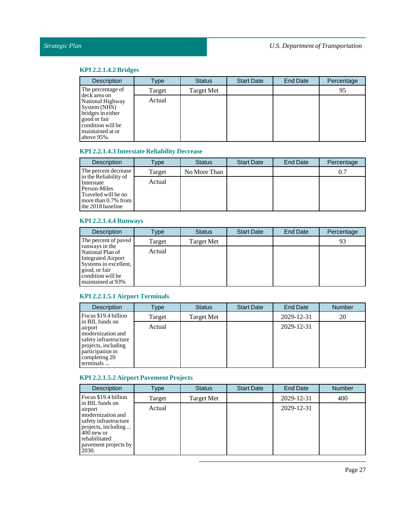## **KPI 2.2.1.4.2 Bridges**

| <b>Description</b>                                                                                                                               | Type   | <b>Status</b> | <b>Start Date</b> | <b>End Date</b> | Percentage |
|--------------------------------------------------------------------------------------------------------------------------------------------------|--------|---------------|-------------------|-----------------|------------|
| The percentage of                                                                                                                                | Target | Target Met    |                   |                 | 95         |
| deck area on<br>National Highway<br>System (NHS)<br>bridges in either<br>good or fair<br>condition will be<br>maintained at or<br>above $95\%$ . | Actual |               |                   |                 |            |

## **KPI 2.2.1.4.3 Interstate Reliability Decrease**

| <b>Description</b>                                                                                                        | Type   | <b>Status</b> | <b>Start Date</b> | <b>End Date</b> | Percentage |
|---------------------------------------------------------------------------------------------------------------------------|--------|---------------|-------------------|-----------------|------------|
| The percent decrease                                                                                                      | Target | No More Than  |                   |                 | 0.7        |
| in the Reliability of<br>Interstate<br>Person-Miles<br>Traveled will be no<br>more than $0.7\%$ from<br>the 2018 baseline | Actual |               |                   |                 |            |

#### **KPI 2.2.1.4.4 Runways**

| <b>Description</b>                                                                                                                           | Type   | <b>Status</b> | <b>Start Date</b> | <b>End Date</b> | Percentage |
|----------------------------------------------------------------------------------------------------------------------------------------------|--------|---------------|-------------------|-----------------|------------|
| The percent of paved                                                                                                                         | Target | Target Met    |                   |                 | 93         |
| runways in the<br>National Plan of<br>Integrated Airport<br>Systems in excellent,<br>good, or fair<br>condition will be<br>maintained at 93% | Actual |               |                   |                 |            |

## **KPI 2.2.1.5.1 Airport Terminals**

| <b>Description</b>                                                                                                                                | Type   | <b>Status</b> | <b>Start Date</b> | <b>End Date</b> | <b>Number</b> |
|---------------------------------------------------------------------------------------------------------------------------------------------------|--------|---------------|-------------------|-----------------|---------------|
| Focus \$19.4 billion                                                                                                                              | Target | Target Met    |                   | 2029-12-31      | 20            |
| in BIL funds on<br>airport<br>modernization and<br>safety infrastructure<br>projects, including<br>participation in<br>completing 20<br>terminals | Actual |               |                   | 2029-12-31      |               |

## **KPI 2.2.1.5.2 Airport Pavement Projects**

| <b>Description</b>                                                                                                                                                | Type   | <b>Status</b> | <b>Start Date</b> | <b>End Date</b> | <b>Number</b> |
|-------------------------------------------------------------------------------------------------------------------------------------------------------------------|--------|---------------|-------------------|-----------------|---------------|
| Focus \$19.4 billion                                                                                                                                              | Target | Target Met    |                   | 2029-12-31      | 400           |
| in BIL funds on<br>airport<br>modernization and<br>safety infrastructure<br>projects, including<br>$400$ new or<br>rehabilitated<br>pavement projects by<br>2030. | Actual |               |                   | 2029-12-31      |               |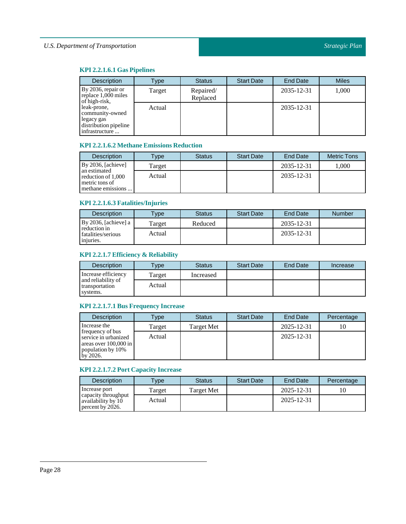## *U.S. Department ofTransportation*

## **KPI 2.2.1.6.1 Gas Pipelines**

| <b>Description</b>                                                                      | Type   | <b>Status</b>         | <b>Start Date</b> | <b>End Date</b> | <b>Miles</b> |
|-----------------------------------------------------------------------------------------|--------|-----------------------|-------------------|-----------------|--------------|
| By 2036, repair or<br>replace 1,000 miles<br>of high-risk,                              | Target | Repaired/<br>Replaced |                   | 2035-12-31      | 1,000        |
| leak-prone,<br>community-owned<br>legacy gas<br>distribution pipeline<br>infrastructure | Actual |                       |                   | 2035-12-31      |              |

#### **KPI 2.2.1.6.2 Methane Emissions Reduction**

| <b>Description</b>                                                        | Type   | <b>Status</b> | <b>Start Date</b> | End Date   | <b>Metric Tons</b> |
|---------------------------------------------------------------------------|--------|---------------|-------------------|------------|--------------------|
| By 2036, [achieve]                                                        | Target |               |                   | 2035-12-31 | 1.000              |
| an estimated<br>reduction of 1,000<br>metric tons of<br>methane emissions | Actual |               |                   | 2035-12-31 |                    |

## **KPI 2.2.1.6.3 Fatalities/Injuries**

| <b>Description</b>                                     | <b>Type</b> | <b>Status</b> | <b>Start Date</b> | <b>End Date</b> | <b>Number</b> |
|--------------------------------------------------------|-------------|---------------|-------------------|-----------------|---------------|
| By 2036, [achieve] a                                   | Target      | Reduced       |                   | 2035-12-31      |               |
| reduction in<br><b>fatalities/serious</b><br>iniuries. | Actual      |               |                   | 2035-12-31      |               |

## **KPI 2.2.1.7 Efficiency & Reliability**

| <b>Description</b>                               | <b>Type</b> | <b>Status</b> | <b>Start Date</b> | <b>End Date</b> | Increase |
|--------------------------------------------------|-------------|---------------|-------------------|-----------------|----------|
| Increase efficiency                              | Target      | Increased     |                   |                 |          |
| and reliability of<br>transportation<br>systems. | Actual      |               |                   |                 |          |

## **KPI 2.2.1.7.1 Bus Frequency Increase**

| <b>Description</b>                                                                                    | Type   | <b>Status</b> | <b>Start Date</b> | End Date   | Percentage |
|-------------------------------------------------------------------------------------------------------|--------|---------------|-------------------|------------|------------|
| Increase the                                                                                          | Target | Target Met    |                   | 2025-12-31 |            |
| frequency of bus<br>service in urbanized<br>areas over 100,000 in<br>population by 10%<br>by $2026$ . | Actual |               |                   | 2025-12-31 |            |

## **KPI 2.2.1.7.2 Port Capacity Increase**

| <b>Description</b>                                            | $T$ vpe | <b>Status</b>     | <b>Start Date</b> | End Date   | Percentage |
|---------------------------------------------------------------|---------|-------------------|-------------------|------------|------------|
| Increase port                                                 | Target  | <b>Target Met</b> |                   | 2025-12-31 |            |
| capacity throughput<br>availability by 10<br>percent by 2026. | Actual  |                   |                   | 2025-12-31 |            |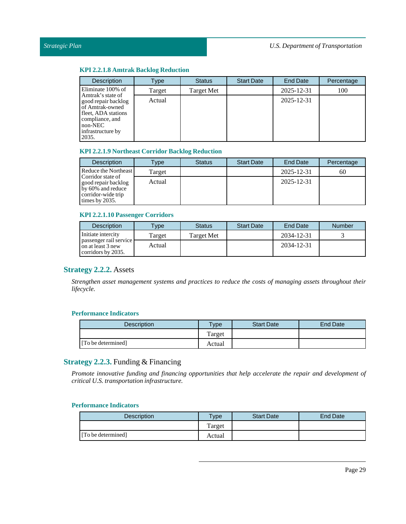#### **KPI 2.2.1.8 Amtrak Backlog Reduction**

| <b>Description</b>                                                                                                                             | Type   | <b>Status</b> | <b>Start Date</b> | <b>End Date</b> | Percentage |
|------------------------------------------------------------------------------------------------------------------------------------------------|--------|---------------|-------------------|-----------------|------------|
| Eliminate 100% of                                                                                                                              | Target | Target Met    |                   | 2025-12-31      | 100        |
| Amtrak's state of<br>good repair backlog<br>of Amtrak-owned<br>fleet, ADA stations<br>compliance, and<br>non-NEC<br>infrastructure by<br>2035. | Actual |               |                   | 2025-12-31      |            |

#### **KPI 2.2.1.9 Northeast Corridor Backlog Reduction**

| <b>Description</b>                                                                                       | Type   | <b>Status</b> | <b>Start Date</b> | <b>End Date</b> | Percentage |
|----------------------------------------------------------------------------------------------------------|--------|---------------|-------------------|-----------------|------------|
| Reduce the Northeast                                                                                     | Target |               |                   | 2025-12-31      | 60         |
| Corridor state of<br>good repair backlog<br>by 60% and reduce<br>corridor-wide trip<br>times by $2035$ . | Actual |               |                   | 2025-12-31      |            |

#### **KPI 2.2.1.10 Passenger Corridors**

| <b>Description</b>                                                | <b>Type</b> | <b>Status</b> | <b>Start Date</b> | <b>End Date</b> | Number |
|-------------------------------------------------------------------|-------------|---------------|-------------------|-----------------|--------|
| Initiate intercity                                                | Target      | Target Met    |                   | 2034-12-31      |        |
| passenger rail service<br>on at least 3 new<br>corridors by 2035. | Actual      |               |                   | 2034-12-31      |        |

## <span id="page-28-0"></span>**Strategy 2.2.2.** Assets

*Strengthen asset management systems and practices to reduce the costs of managing assets throughout their lifecycle.*

#### **Performance Indicators**

| <b>Description</b> | $T$ <sub>V</sub> $pe$ | <b>Start Date</b> | <b>End Date</b> |
|--------------------|-----------------------|-------------------|-----------------|
|                    | Target                |                   |                 |
| [To be determined] | Actual                |                   |                 |

## <span id="page-28-1"></span>**Strategy 2.2.3.** Funding & Financing

*Promote innovative funding and financing opportunities that help accelerate the repair and development of critical U.S.transportation infrastructure.*

| <b>Description</b> | vpe    | <b>Start Date</b> | End Date |
|--------------------|--------|-------------------|----------|
|                    | Target |                   |          |
| [To be determined] | Actual |                   |          |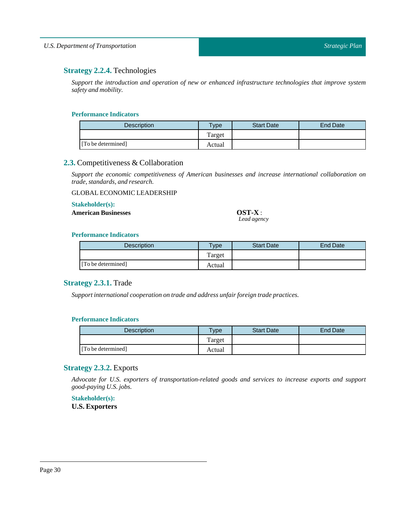## <span id="page-29-0"></span>**Strategy 2.2.4.** Technologies

*Support the introduction and operation of new or enhanced infrastructure technologies that improve system safety and mobility.*

### **Performance Indicators**

| <b>Description</b> | $T$ vpe | <b>Start Date</b> | End Date |
|--------------------|---------|-------------------|----------|
|                    | Target  |                   |          |
| [To be determined] | Actual  |                   |          |

### <span id="page-29-1"></span>**2.3.** Competitiveness & Collaboration

*Support the economic competitiveness of American businesses and increase international collaboration on trade, standards, and research.*

### GLOBAL ECONOMIC LEADERSHIP

#### **Stakeholder(s):**

**American Businesses OST-X** :

*Lead agency*

#### **Performance Indicators**

| <b>Description</b> | Type   | <b>Start Date</b> | End Date |
|--------------------|--------|-------------------|----------|
|                    | Target |                   |          |
| [To be determined] | Actual |                   |          |

## <span id="page-29-2"></span>**Strategy 2.3.1.** Trade

*Supportinternational cooperation on trade and address unfair foreign trade practices.*

### **Performance Indicators**

| <b>Description</b> | $T$ <sub>ype</sub> | <b>Start Date</b> | End Date |
|--------------------|--------------------|-------------------|----------|
|                    | Target             |                   |          |
| [To be determined] | Actual             |                   |          |

## <span id="page-29-3"></span>**Strategy 2.3.2.** Exports

*Advocate for U.S. exporters of transportation-related goods and services to increase exports and support good-paying U.S.jobs.*

**Stakeholder(s): U.S. Exporters**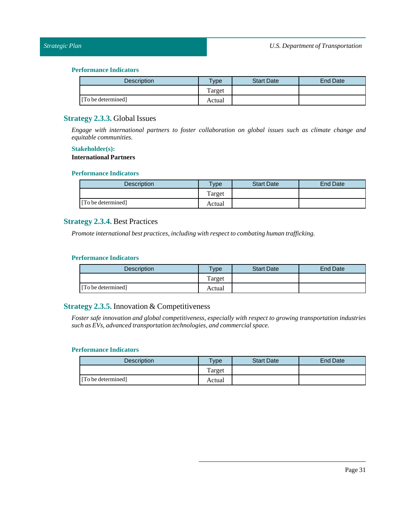| Description        | Type   | <b>Start Date</b> | <b>End Date</b> |
|--------------------|--------|-------------------|-----------------|
|                    | Target |                   |                 |
| [To be determined] | Actual |                   |                 |

## <span id="page-30-0"></span>**Strategy 2.3.3.** Global Issues

*Engage with international partners to foster collaboration on global issues such as climate change and equitable communities.*

#### **Stakeholder(s):**

## **International Partners**

#### **Performance Indicators**

| Description        | $T$ <sub>V</sub> $pe$ | <b>Start Date</b> | End Date |
|--------------------|-----------------------|-------------------|----------|
|                    | Target                |                   |          |
| [To be determined] | Actual                |                   |          |

## <span id="page-30-1"></span>**Strategy 2.3.4.** Best Practices

*Promote international best practices,including with respectto combating human trafficking.*

#### **Performance Indicators**

| Description        | $v$ pe | <b>Start Date</b> | End Date |
|--------------------|--------|-------------------|----------|
|                    | Target |                   |          |
| [To be determined] | Actual |                   |          |

## <span id="page-30-2"></span>**Strategy 2.3.5.** Innovation & Competitiveness

*Foster safe innovation and global competitiveness, especially with respect to growing transportation industries such as EVs, advanced transportation technologies, and commercial space.*

| <b>Description</b> | $T$ <sub>V</sub> pe | <b>Start Date</b> | End Date |
|--------------------|---------------------|-------------------|----------|
|                    | Target              |                   |          |
| [To be determined] | Actual              |                   |          |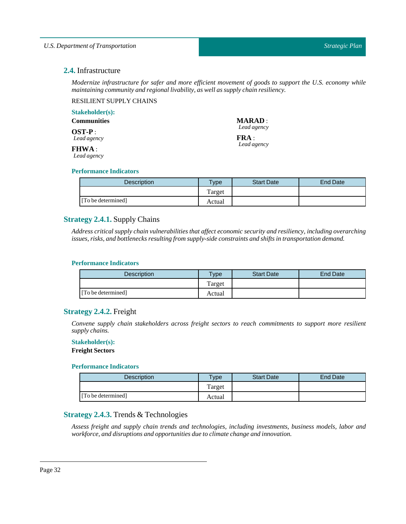### <span id="page-31-0"></span>*U.S. Department ofTransportation*

## **2.4.** Infrastructure

*Modernize infrastructure for safer and more efficient movement of goods to support the U.S. economy while maintaining community and regionallivability, as well as supply chain resiliency.*

RESILIENT SUPPLY CHAINS

| <b>Stakeholder(s):</b>       |               |
|------------------------------|---------------|
| <b>Communities</b>           | <b>MARAD:</b> |
| $OST-P:$                     | Lead agency   |
| Lead agency                  | FRA:          |
| <b>FHWA</b> :<br>Lead agency | Lead agency   |

#### **Performance Indicators**

| Description        | <b>Type</b> | <b>Start Date</b> | <b>End Date</b> |
|--------------------|-------------|-------------------|-----------------|
|                    | Target      |                   |                 |
| [To be determined] | Actual      |                   |                 |

## <span id="page-31-1"></span>**Strategy 2.4.1.** Supply Chains

*Address critical supply chain vulnerabilities that affect economic security and resiliency, including overarching issues, risks, and bottlenecks resulting from supply-side constraints and shifts in transportation demand.*

#### **Performance Indicators**

| <b>Description</b> | <b>Type</b> | <b>Start Date</b> | End Date |
|--------------------|-------------|-------------------|----------|
|                    | Target      |                   |          |
| [To be determined] | Actual      |                   |          |

## <span id="page-31-2"></span>**Strategy 2.4.2.** Freight

*Convene supply chain stakeholders across freight sectors to reach commitments to support more resilient supply chains.*

#### **Stakeholder(s):**

**Freight Sectors** 

#### **Performance Indicators**

| <b>Description</b> | <b>Type</b> | <b>Start Date</b> | End Date |
|--------------------|-------------|-------------------|----------|
|                    | Target      |                   |          |
| [To be determined] | Actual      |                   |          |

## <span id="page-31-3"></span>**Strategy 2.4.3.** Trends & Technologies

*Assess freight and supply chain trends and technologies, including investments, business models, labor and workforce, and disruptions and opportunities due to climate change and innovation.*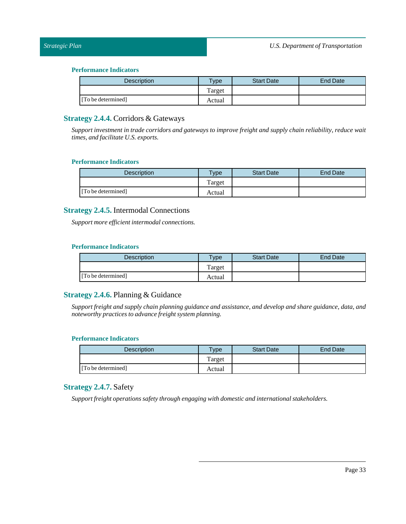| <b>Description</b> | $T$ ype | <b>Start Date</b> | End Date |
|--------------------|---------|-------------------|----------|
|                    | Target  |                   |          |
| [To be determined] | Actual  |                   |          |

## <span id="page-32-0"></span>**Strategy 2.4.4.** Corridors & Gateways

*Support investment in trade corridors and gateways to improve freight and supply chain reliability, reduce wait times, and facilitate U.S. exports.*

### **Performance Indicators**

| <b>Description</b> | <b>Vpe</b> | <b>Start Date</b> | End Date |
|--------------------|------------|-------------------|----------|
|                    | Target     |                   |          |
| [To be determined] | Actual     |                   |          |

## <span id="page-32-1"></span>**Strategy 2.4.5.** Intermodal Connections

*Support more efficient intermodal connections.* 

### **Performance Indicators**

| Description        | $v$ pe | <b>Start Date</b> | End Date |
|--------------------|--------|-------------------|----------|
|                    | Target |                   |          |
| [To be determined] | Actual |                   |          |

## <span id="page-32-2"></span>**Strategy 2.4.6.** Planning & Guidance

*Support freight and supply chain planning guidance and assistance, and develop and share guidance, data, and noteworthy practices to advance freight system planning.*

## **Performance Indicators**

| <b>Description</b> | <b>Type</b> | <b>Start Date</b> | End Date |
|--------------------|-------------|-------------------|----------|
|                    | Target      |                   |          |
| [To be determined] | Actual      |                   |          |

## <span id="page-32-3"></span>**Strategy 2.4.7.** Safety

*Supportfreight operations safety through engaging with domestic and international stakeholders.*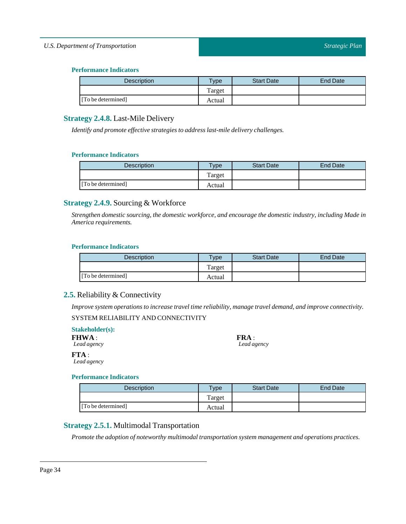## *U.S. Department ofTransportation*

### **Performance Indicators**

| <b>Description</b> | Type   | <b>Start Date</b> | <b>End Date</b> |
|--------------------|--------|-------------------|-----------------|
|                    | Target |                   |                 |
| [To be determined] | Actual |                   |                 |

## <span id="page-33-0"></span>**Strategy 2.4.8.** Last-Mile Delivery

*Identify and promote effective strategies to address last-mile delivery challenges.*

## **Performance Indicators**

| Description        | vpe    | <b>Start Date</b> | End Date |
|--------------------|--------|-------------------|----------|
|                    | Target |                   |          |
| [To be determined] | Actual |                   |          |

## <span id="page-33-1"></span>**Strategy 2.4.9.** Sourcing & Workforce

*Strengthen domestic sourcing, the domestic workforce, and encourage the domestic industry, including Made in America requirements.*

### **Performance Indicators**

| <b>Description</b> | $v_{\rm p}$ | <b>Start Date</b> | End Date |
|--------------------|-------------|-------------------|----------|
|                    | Target      |                   |          |
| [To be determined] | Actual      |                   |          |

## <span id="page-33-2"></span>**2.5.** Reliability & Connectivity

*Improve system operations to increase traveltime reliability, manage travel demand, and improve connectivity.*

## SYSTEM RELIABILITY AND CONNECTIVITY

| <b>Stakeholder(s):</b> |                                 |  |
|------------------------|---------------------------------|--|
| FHWA :<br>Lead agency  | $\mathbf{FRA}$ :<br>Lead agency |  |
| FTA :<br>Lead agency   |                                 |  |

### **Performance Indicators**

| <b>Description</b> | $TV$ pe | <b>Start Date</b> | <b>End Date</b> |
|--------------------|---------|-------------------|-----------------|
|                    | Target  |                   |                 |
| [To be determined] | Actual  |                   |                 |

## <span id="page-33-3"></span>**Strategy 2.5.1.** Multimodal Transportation

*Promote the adoption of noteworthy multimodaltransportation system management and operations practices.*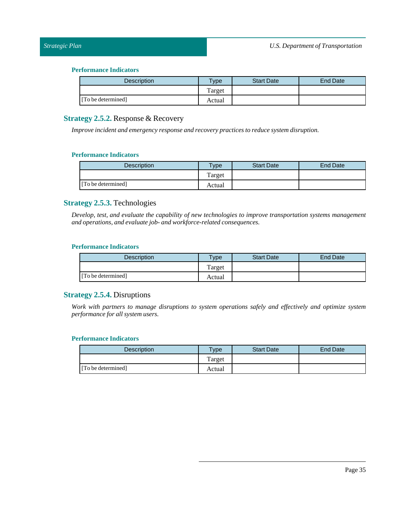| <b>Description</b> | $T$ ype | <b>Start Date</b> | End Date |
|--------------------|---------|-------------------|----------|
|                    | Target  |                   |          |
| [To be determined] | Actual  |                   |          |

## <span id="page-34-0"></span>**Strategy 2.5.2.** Response & Recovery

*Improve incident and emergency response and recovery practices to reduce system disruption.*

#### **Performance Indicators**

| Description        | vpe    | <b>Start Date</b> | End Date |
|--------------------|--------|-------------------|----------|
|                    | Target |                   |          |
| [To be determined] | Actual |                   |          |

## <span id="page-34-1"></span>**Strategy 2.5.3.** Technologies

*Develop, test, and evaluate the capability of new technologies to improve transportation systems management and operations, and evaluate job- and workforce-related consequences.*

#### **Performance Indicators**

| <b>Description</b> | $T$ ype | <b>Start Date</b> | End Date |
|--------------------|---------|-------------------|----------|
|                    | Target  |                   |          |
| [To be determined] | Actual  |                   |          |

## <span id="page-34-2"></span>**Strategy 2.5.4.** Disruptions

*Work with partners to manage disruptions to system operations safely and effectively and optimize system performance for all system users.*

| <b>Description</b> | $T$ <sub>V</sub> $pe$ | <b>Start Date</b> | <b>End Date</b> |
|--------------------|-----------------------|-------------------|-----------------|
|                    | Target                |                   |                 |
| [To be determined] | Actual                |                   |                 |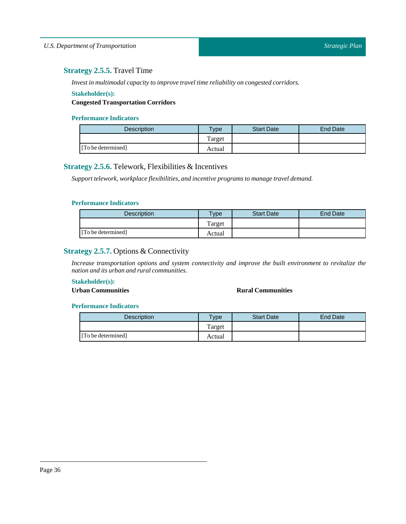## <span id="page-35-0"></span>**Strategy 2.5.5.** Travel Time

*Investin multimodal capacity to improve traveltime reliability on congested corridors.*

#### **Stakeholder(s):**

## **Congested Transportation Corridors**

#### **Performance Indicators**

| Description        | <b>Type</b> | <b>Start Date</b> | End Date |
|--------------------|-------------|-------------------|----------|
|                    | Target      |                   |          |
| [To be determined] | Actual      |                   |          |

## <span id="page-35-1"></span>**Strategy 2.5.6.** Telework, Flexibilities & Incentives

*Supporttelework, workplace flexibilities, and incentive programs to manage travel demand.*

#### **Performance Indicators**

| Description        | $v$ pe | <b>Start Date</b> | End Date |
|--------------------|--------|-------------------|----------|
|                    | Target |                   |          |
| [To be determined] | Actual |                   |          |

## <span id="page-35-2"></span>**Strategy 2.5.7.** Options & Connectivity

*Increase transportation options and system connectivity and improve the built environment to revitalize the nation and its urban and rural communities.*

## **Stakeholder(s):**

#### **Urban** Communities **Rural Rural Rural Rural Communities**

| <b>Description</b> | Type   | <b>Start Date</b> | End Date |
|--------------------|--------|-------------------|----------|
|                    | Target |                   |          |
| [To be determined] | Actual |                   |          |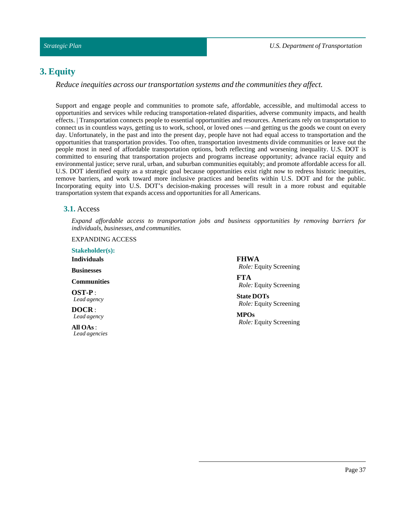# **3. Equity**

*Reduce inequities across our transportation systems and the communities they affect.*

Support and engage people and communities to promote safe, affordable, accessible, and multimodal access to opportunities and services while reducing transportation-related disparities, adverse community impacts, and health effects. | Transportation connects people to essential opportunities and resources. Americans rely on transportation to connect us in countless ways, getting us to work, school, or loved ones —and getting us the goods we count on every day. Unfortunately, in the past and into the present day, people have not had equal access to transportation and the opportunities that transportation provides. Too often, transportation investments divide communities or leave out the people most in need of affordable transportation options, both reflecting and worsening inequality. U.S. DOT is committed to ensuring that transportation projects and programs increase opportunity; advance racial equity and environmental justice; serve rural, urban, and suburban communities equitably; and promote affordable access for all. U.S. DOT identified equity as a strategic goal because opportunities exist right now to redress historic inequities, remove barriers, and work toward more inclusive practices and benefits within U.S. DOT and for the public. Incorporating equity into U.S. DOT's decision-making processes will result in a more robust and equitable transportation system that expands access and opportunities for all Americans.

#### **3.1.** Access

*Expand affordable access to transportation jobs and business opportunities by removing barriers for individuals, businesses, and communities.*

EXPANDING ACCESS

**Stakeholder(s): Individuals Businesses Communities**

**OST-P** : *Lead agency*

**DOCR** : *Lead agency*

**All OAs**: *Lead agencies* **FHWA** *Role:* Equity Screening

**FTA** *Role:* Equity Screening

**State DOTs** *Role:* Equity Screening

**MPOs** *Role:* Equity Screening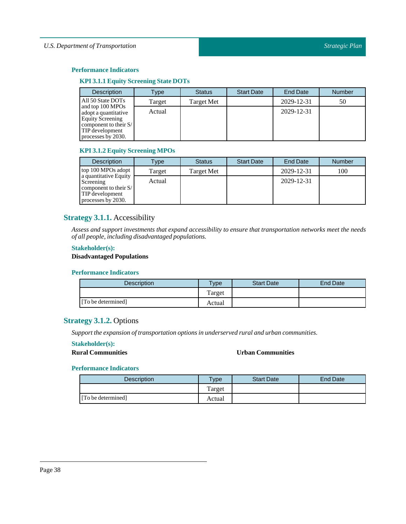#### **Performance Indicators**

# **KPI 3.1.1 Equity Screening State DOTs**

| <b>Description</b>                                                                                                       | Type   | <b>Status</b> | <b>Start Date</b> | End Date   | <b>Number</b> |
|--------------------------------------------------------------------------------------------------------------------------|--------|---------------|-------------------|------------|---------------|
| All 50 State DOTs                                                                                                        | Target | Target Met    |                   | 2029-12-31 | 50            |
| and top 100 MPOs<br>adopt a quantitative<br><b>Equity Screening</b><br>component to their $S/$<br><b>TIP</b> development | Actual |               |                   | 2029-12-31 |               |

### **KPI 3.1.2 Equity Screening MPOs**

| <b>Description</b>                                                                                     | <b>Type</b> | <b>Status</b> | <b>Start Date</b> | <b>End Date</b> | <b>Number</b> |
|--------------------------------------------------------------------------------------------------------|-------------|---------------|-------------------|-----------------|---------------|
| top 100 MPOs adopt                                                                                     | Target      | Target Met    |                   | 2029-12-31      | 100           |
| a quantitative Equity<br>Screening<br>component to their $S/$<br>TIP development<br>processes by 2030. | Actual      |               |                   | 2029-12-31      |               |

# **Strategy 3.1.1.** Accessibility

*Assess and support investments that expand accessibility to ensure that transportation networks meet the needs of all people,including disadvantaged populations.*

# **Stakeholder(s):**

## **Disadvantaged Populations**

#### **Performance Indicators**

| Description        | $T$ ype | <b>Start Date</b> | <b>End Date</b> |
|--------------------|---------|-------------------|-----------------|
|                    | Target  |                   |                 |
| [To be determined] | Actual  |                   |                 |

# **Strategy 3.1.2.** Options

*Supportthe expansion oftransportation options in underserved rural and urban communities.*

#### **Stakeholder(s):**

#### **Rural Communities Urban Communities**

| <b>Description</b> | $T$ <sub>V</sub> $pe$ | <b>Start Date</b> | <b>End Date</b> |
|--------------------|-----------------------|-------------------|-----------------|
|                    | Target                |                   |                 |
| [To be determined] | Actual                |                   |                 |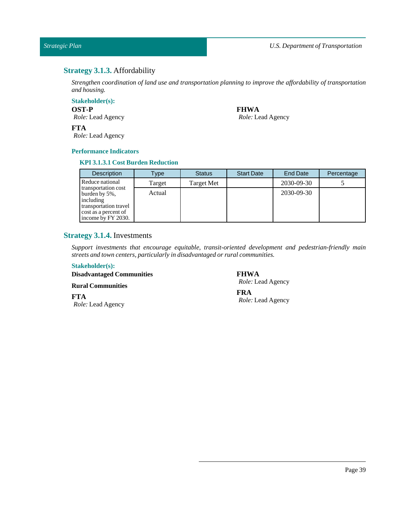# **Strategy 3.1.3.** Affordability

*Strengthen coordination of land use and transportation planning to improve the affordability of transportation and housing.*

**Stakeholder(s): OST-P** *Role:* Lead Agency

**FHWA** *Role:* Lead Agency

**FTA** *Role:* Lead Agency

### **Performance Indicators**

### **KPI 3.1.3.1 Cost Burden Reduction**

| <b>Description</b>                                                                                                       | Type   | <b>Status</b> | <b>Start Date</b> | <b>End Date</b> | Percentage |
|--------------------------------------------------------------------------------------------------------------------------|--------|---------------|-------------------|-----------------|------------|
| Reduce national                                                                                                          | Target | Target Met    |                   | 2030-09-30      |            |
| transportation cost<br>burden by 5%,<br>including<br>transportation travel<br>cost as a percent of<br>income by FY 2030. | Actual |               |                   | 2030-09-30      |            |

# **Strategy 3.1.4.** Investments

*Support investments that encourage equitable, transit-oriented development and pedestrian-friendly main streets and town centers, particularly in disadvantaged or rural communities.*

#### **Stakeholder(s):**

**Disadvantaged Communities**

**FHWA** *Role:* Lead Agency

**Rural Communities**

**FTA** *Role:* Lead Agency **FRA** *Role:* Lead Agency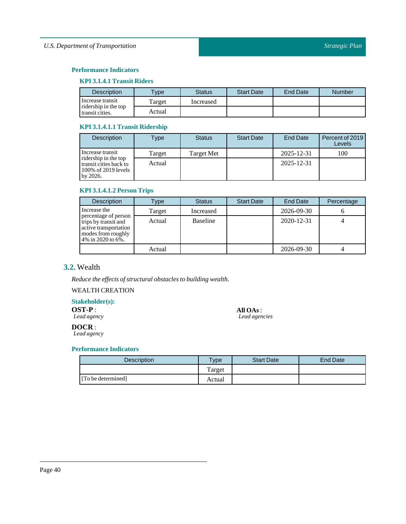## **KPI 3.1.4.1 Transit Riders**

| <b>Description</b>                      | $T$ vpe | <b>Status</b> | <b>Start Date</b> | End Date | Number |
|-----------------------------------------|---------|---------------|-------------------|----------|--------|
| Increase transit                        | Target  | Increased     |                   |          |        |
| ridership in the top<br>transit cities. | Actual  |               |                   |          |        |

# **KPI 3.1.4.1.1 Transit Ridership**

| <b>Description</b>                                                                   | Type   | <b>Status</b> | <b>Start Date</b> | <b>End Date</b> | Percent of 2019<br>Levels |
|--------------------------------------------------------------------------------------|--------|---------------|-------------------|-----------------|---------------------------|
| Increase transit                                                                     | Target | Target Met    |                   | 2025-12-31      | 100                       |
| ridership in the top<br>transit cities back to<br>100% of 2019 levels<br>by $2026$ . | Actual |               |                   | 2025-12-31      |                           |

# **KPI 3.1.4.1.2 Person Trips**

| <b>Description</b>                                                                                                 | Type   | <b>Status</b>   | <b>Start Date</b> | <b>End Date</b>  | Percentage |
|--------------------------------------------------------------------------------------------------------------------|--------|-----------------|-------------------|------------------|------------|
| Increase the                                                                                                       | Target | Increased       |                   | 2026-09-30       |            |
| percentage of person<br>trips by transit and<br>active transportation<br>modes from roughly<br>4\% in 2020 to 6\%. | Actual | <b>Baseline</b> |                   | $2020 - 12 - 31$ |            |
|                                                                                                                    | Actual |                 |                   | 2026-09-30       |            |

# **3.2.** Wealth

*Reduce the effects of structural obstacles to building wealth.*

## WEALTH CREATION

#### **Stakeholder(s):**

**OST-P** : *Lead agency*

#### **All OAs**: *Lead agencies*

# **DOCR** :

*Lead agency*

| <b>Description</b> | $T$ ype | <b>Start Date</b> | End Date |
|--------------------|---------|-------------------|----------|
|                    | Target  |                   |          |
| [To be determined] | Actual  |                   |          |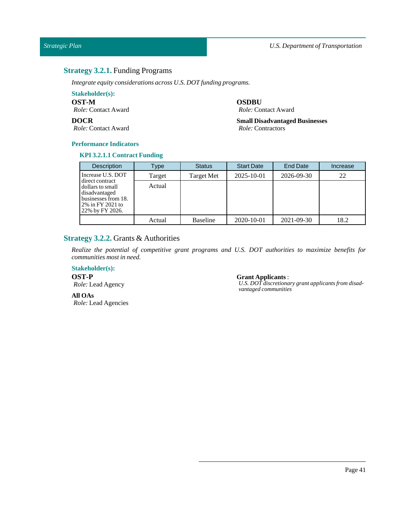# **Strategy 3.2.1.** Funding Programs

*Integrate equity considerations across U.S. DOTfunding programs.*

#### **Stakeholder(s):**

**OST-M** *Role:* Contact Award

# **DOCR**

*Role:* Contact Award

# **OSDBU**

*Role:* Contact Award

**Small Disadvantaged Businesses** *Role:* Contractors

# **Performance Indicators**

## **KPI 3.2.1.1 Contract Funding**

| <b>Description</b>                                                                                                 | Type   | <b>Status</b>   | <b>Start Date</b> | <b>End Date</b> | Increase |
|--------------------------------------------------------------------------------------------------------------------|--------|-----------------|-------------------|-----------------|----------|
| Increase U.S. DOT                                                                                                  | Target | Target Met      | 2025-10-01        | 2026-09-30      | 22       |
| direct contract<br>dollars to small<br>disadvantaged<br>businesses from 18.<br>2% in FY 2021 to<br>22% by FY 2026. | Actual |                 |                   |                 |          |
|                                                                                                                    | Actual | <b>Baseline</b> | 2020-10-01        | 2021-09-30      | 18.2     |

# **Strategy 3.2.2.** Grants & Authorities

*Realize the potential of competitive grant programs and U.S. DOT authorities to maximize benefits for communities mostin need.*

#### **Stakeholder(s):**

**OST-P** *Role:* Lead Agency

#### **Grant Applicants** :

*U.S. DOT discretionary grant applicants from disadvantaged communities*

## **All OAs**

*Role:* Lead Agencies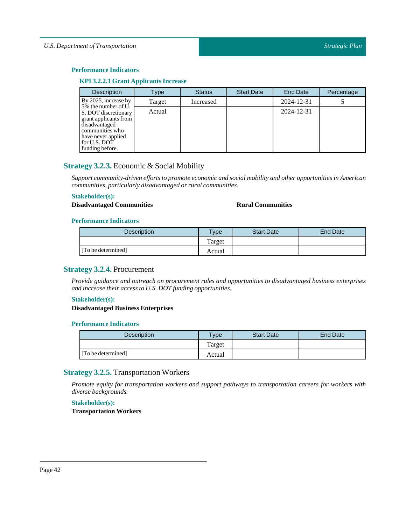#### **KPI 3.2.2.1 Grant Applicants Increase**

| <b>Description</b>                                                                                                                                                | Type   | <b>Status</b> | <b>Start Date</b> | <b>End Date</b> | Percentage |
|-------------------------------------------------------------------------------------------------------------------------------------------------------------------|--------|---------------|-------------------|-----------------|------------|
| By 2025, increase by                                                                                                                                              | Target | Increased     |                   | 2024-12-31      |            |
| 5% the number of U.<br>S. DOT discretionary<br>grant applicants from<br>disadvantaged<br>communities who<br>have never applied<br>for U.S. DOT<br>funding before. | Actual |               |                   | 2024-12-31      |            |

# **Strategy 3.2.3.** Economic & Social Mobility

*Support community-driven efforts to promote economic and social mobility and other opportunities in American communities, particularly disadvantaged or rural communities.*

#### **Stakeholder(s):**

#### **Disadvantaged Communities Rural Communities**

#### **Performance Indicators**

| <b>Description</b> | Type    | <b>Start Date</b> | <b>End Date</b> |
|--------------------|---------|-------------------|-----------------|
|                    | l'arget |                   |                 |
| [To be determined] | Actual  |                   |                 |

# **Strategy 3.2.4.** Procurement

*Provide guidance and outreach on procurement rules and opportunities to disadvantaged business enterprises and increase their access to U.S. DOTfunding opportunities.*

#### **Stakeholder(s):**

#### **Disadvantaged Business Enterprises**

## **Performance Indicators**

| <b>Description</b> | Type   | <b>Start Date</b> | <b>End Date</b> |
|--------------------|--------|-------------------|-----------------|
|                    | Target |                   |                 |
| [To be determined] | Actual |                   |                 |

# **Strategy 3.2.5.** Transportation Workers

*Promote equity for transportation workers and support pathways to transportation careers for workers with diverse backgrounds.*

# **Stakeholder(s):**

**Transportation Workers**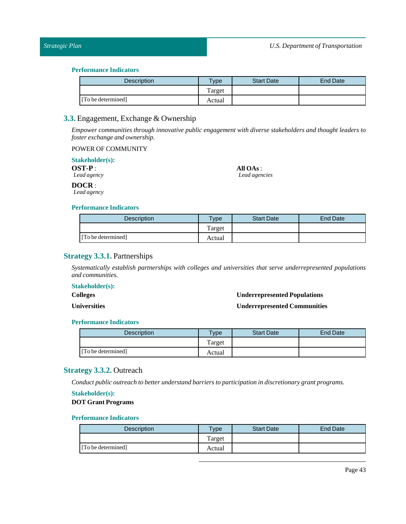| <b>Description</b> | <b>Type</b> | <b>Start Date</b> | <b>End Date</b> |
|--------------------|-------------|-------------------|-----------------|
|                    | Target      |                   |                 |
| [To be determined] | Actual      |                   |                 |

# **3.3.** Engagement, Exchange & Ownership

*Empower communities through innovative public engagement with diverse stakeholders and thought leaders to foster exchange and ownership.*

#### POWER OF COMMUNITY

| <b>Stakeholder(s):</b>                          |  |
|-------------------------------------------------|--|
| $OST-P:$                                        |  |
| Lead agency                                     |  |
| $\mathbf{D} \mathbf{O} \mathbf{C} \mathbf{R}$ . |  |

**All OAs**: *Lead agencies*

**DOCR** :

*Lead agency*

#### **Performance Indicators**

| <b>Description</b> | <b>Type</b> | <b>Start Date</b> | <b>End Date</b> |
|--------------------|-------------|-------------------|-----------------|
|                    | Target      |                   |                 |
| [To be determined] | Actual      |                   |                 |

# **Strategy 3.3.1.** Partnerships

*Systematically establish partnerships with colleges and universities that serve underrepresented populations and communities.*

#### **Stakeholder(s):**

**Colleges**

#### **Universities**

# **Underrepresented Populations**

**Underrepresented Communities**

#### **Performance Indicators**

| <b>Description</b> | $v$ pe | <b>Start Date</b> | End Date |
|--------------------|--------|-------------------|----------|
|                    | Target |                   |          |
| [To be determined] | Actual |                   |          |

# **Strategy 3.3.2.** Outreach

*Conduct public outreach to better understand barriers to participation in discretionary grant programs.*

#### **Stakeholder(s):**

#### **DOT Grant Programs**

| <b>Description</b> | <b>Type</b> | <b>Start Date</b> | End Date |
|--------------------|-------------|-------------------|----------|
|                    | Target      |                   |          |
| [To be determined] | Actual      |                   |          |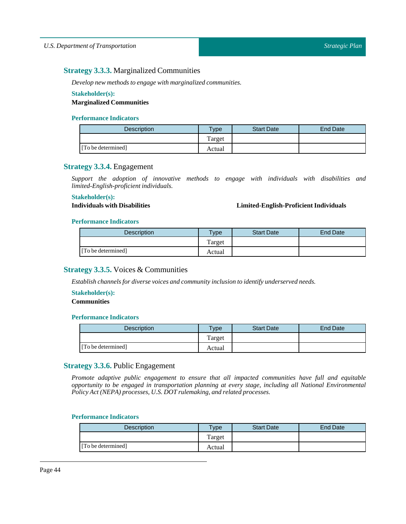# **Strategy 3.3.3.** Marginalized Communities

*Develop new methods to engage with marginalized communities.*

#### **Stakeholder(s):**

## **Marginalized Communities**

#### **Performance Indicators**

| <b>Description</b> | $T$ ype | <b>Start Date</b> | End Date |
|--------------------|---------|-------------------|----------|
|                    | Target  |                   |          |
| [To be determined] | Actual  |                   |          |

# **Strategy 3.3.4.** Engagement

*Support the adoption of innovative methods to engage with individuals with disabilities and limited-English-proficientindividuals.*

#### **Stakeholder(s):**

#### **Individuals with Disabilities Limited-English-Proficient Individuals**

#### **Performance Indicators**

| <b>Description</b> | <b>Type</b> | <b>Start Date</b> | <b>End Date</b> |
|--------------------|-------------|-------------------|-----------------|
|                    | Target      |                   |                 |
| [To be determined] | Actual      |                   |                 |

# **Strategy 3.3.5.** Voices & Communities

*Establish channels for diverse voices and community inclusion to identify underserved needs.*

# **Stakeholder(s):**

**Communities**

# **Performance Indicators**

| <b>Description</b> | $T$ vpe | <b>Start Date</b> | End Date |
|--------------------|---------|-------------------|----------|
|                    | Target  |                   |          |
| [To be determined] | Actual  |                   |          |

# **Strategy 3.3.6.** Public Engagement

*Promote adaptive public engagement to ensure that all impacted communities have full and equitable opportunity to be engaged in transportation planning at every stage, including all National Environmental Policy Act (NEPA) processes, U.S. DOTrulemaking, and related processes.*

| <b>Description</b> | Type   | <b>Start Date</b> | End Date |
|--------------------|--------|-------------------|----------|
|                    | Target |                   |          |
| [To be determined] | Actual |                   |          |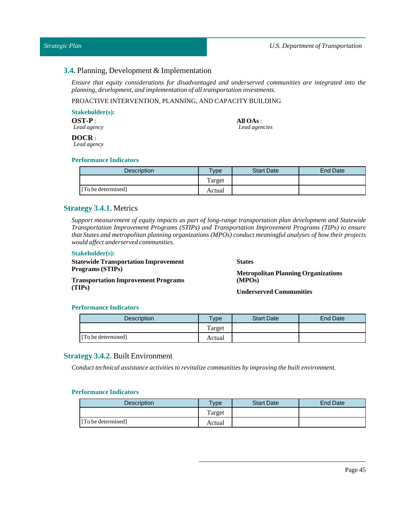# **3.4.** Planning, Development & Implementation

*Ensure that equity considerations for disadvantaged and underserved communities are integrated into the planning, development, and implementation of alltransportation investments.*

#### PROACTIVE INTERVENTION,PLANNING, AND CAPACITY BUILDING

**Stakeholder(s): OST-P** : *Lead agency*

**All OAs**: *Lead agencies*

**DOCR** : *Lead agency*

#### **Performance Indicators**

| Description        | Type   | <b>Start Date</b> | <b>End Date</b> |
|--------------------|--------|-------------------|-----------------|
|                    | Target |                   |                 |
| [To be determined] | Actual |                   |                 |

# **Strategy 3.4.1.** Metrics

*Support measurement of equity impacts as part of long-range transportation plan development and Statewide Transportation Improvement Programs (STIPs) and Transportation Improvement Programs (TIPs) to ensure that States and metropolitan planning organizations (MPOs) conduct meaningful analyses of how their projects would affect underserved communities.*

#### **Stakeholder(s):**

**Statewide Transportation Improvement Programs (STIPs)**

**TransportationImprovement Programs (TIPs)**

**States**

**Metropolitan Planning Organizations (MPOs)**

**Underserved Communities**

#### **Performance Indicators**

| <b>Description</b> | <b>Type</b> | <b>Start Date</b> | End Date |
|--------------------|-------------|-------------------|----------|
|                    | l'arget     |                   |          |
| [To be determined] | Actual      |                   |          |

## **Strategy 3.4.2.** Built Environment

*Conducttechnical assistance activities to revitalize communities by improving the built environment.*

| <b>Description</b> | <b>Type</b> | <b>Start Date</b> | End Date |
|--------------------|-------------|-------------------|----------|
|                    | Target      |                   |          |
| [To be determined] | Actual      |                   |          |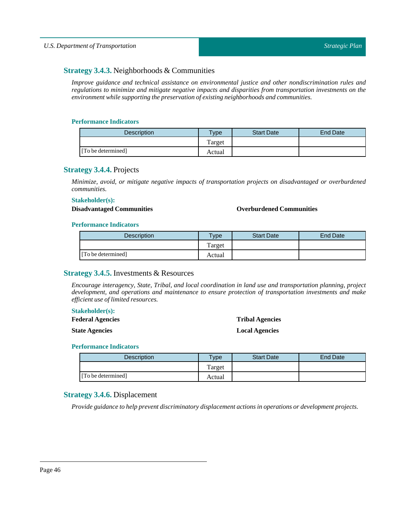# **Strategy 3.4.3.** Neighborhoods & Communities

*Improve guidance and technical assistance on environmental justice and other nondiscrimination rules and regulations to minimize and mitigate negative impacts and disparities from transportation investments on the environment while supporting the preservation of existing neighborhoods and communities.*

#### **Performance Indicators**

| <b>Description</b> | <b>Type</b> | <b>Start Date</b> | <b>End Date</b> |
|--------------------|-------------|-------------------|-----------------|
|                    | Target      |                   |                 |
| [To be determined] | Actual      |                   |                 |

# **Strategy 3.4.4.** Projects

*Minimize, avoid, or mitigate negative impacts of transportation projects on disadvantaged or overburdened communities.*

#### **Stakeholder(s):**

#### **Disadvantaged Communities Overburdened Communities**

#### **Performance Indicators**

| Description        | $v_{\rm p}$ | <b>Start Date</b> | <b>End Date</b> |
|--------------------|-------------|-------------------|-----------------|
|                    | Target      |                   |                 |
| [To be determined] | Actual      |                   |                 |

## **Strategy 3.4.5.** Investments & Resources

*Encourage interagency, State, Tribal, and local coordination in land use and transportation planning, project development, and operations and maintenance to ensure protection of transportation investments and make efficient use oflimited resources.*

#### **Stakeholder(s):**

**Federal Agencies**

**State Agencies**

#### **Tribal Agencies**

#### **Local Agencies**

#### **Performance Indicators**

| <b>Description</b> | vpe    | <b>Start Date</b> | <b>End Date</b> |
|--------------------|--------|-------------------|-----------------|
|                    | Target |                   |                 |
| [To be determined] | Actual |                   |                 |

# **Strategy 3.4.6.** Displacement

*Provide guidance to help prevent discriminatory displacement actions in operations or development projects.*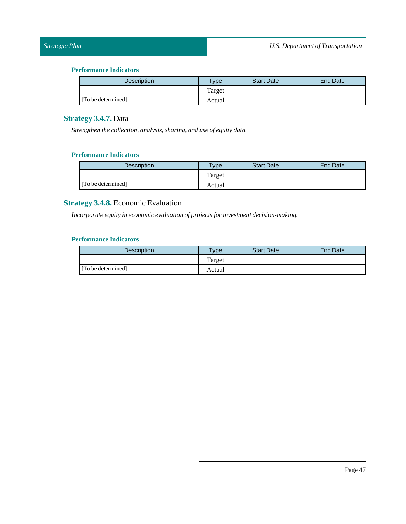| <b>Description</b> | vpe    | <b>Start Date</b> | <b>End Date</b> |
|--------------------|--------|-------------------|-----------------|
|                    | Target |                   |                 |
| [To be determined] | Actual |                   |                 |

# **Strategy 3.4.7.** Data

*Strengthen the collection, analysis, sharing, and use of equity data.*

# **Performance Indicators**

| <b>Description</b> | $v_{\rm p}$ | <b>Start Date</b> | <b>End Date</b> |
|--------------------|-------------|-------------------|-----------------|
|                    | Target      |                   |                 |
| [To be determined] | Actual      |                   |                 |

# **Strategy 3.4.8.** Economic Evaluation

*Incorporate equity in economic evaluation of projects for investment decision-making.*

| <b>Description</b> | <b>Type</b> | <b>Start Date</b> | End Date |
|--------------------|-------------|-------------------|----------|
|                    | Target      |                   |          |
| [To be determined] | Actual      |                   |          |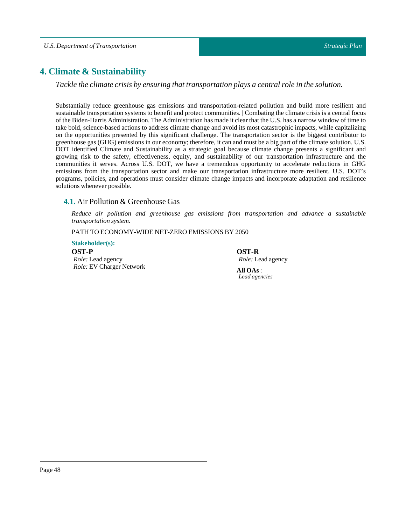# PLACEHOLDER\_129 **4. Climate & Sustainability**

*Tackle the climate crisis by ensuring that transportation plays a central role in the solution.*

Substantially reduce greenhouse gas emissions and transportation-related pollution and build more resilient and sustainable transportation systems to benefit and protect communities. | Combating the climate crisis is a central focus of the Biden-Harris Administration. The Administration has made it clear thatthe U.S. has a narrow window of time to take bold, science-based actions to address climate change and avoid its most catastrophic impacts, while capitalizing on the opportunities presented by this significant challenge. The transportation sector is the biggest contributor to greenhouse gas (GHG) emissions in our economy; therefore, it can and must be a big part of the climate solution. U.S. DOT identified Climate and Sustainability as a strategic goal because climate change presents a significant and growing risk to the safety, effectiveness, equity, and sustainability of our transportation infrastructure and the communities it serves. Across U.S. DOT, we have a tremendous opportunity to accelerate reductions in GHG emissions from the transportation sector and make our transportation infrastructure more resilient. U.S. DOT's programs, policies, and operations must consider climate change impacts and incorporate adaptation and resilience solutions whenever possible.

# **4.1.** Air Pollution & Greenhouse Gas

*Reduce air pollution and greenhouse gas emissions from transportation and advance a sustainable transportation system.*

PATH TO ECONOMY-WIDE NET-ZERO EMISSIONS BY 2050

**Stakeholder(s): OST-P** *Role:* Lead agency *Role:* EV Charger Network

**OST-R** *Role:* Lead agency

**All OAs**: *Lead agencies*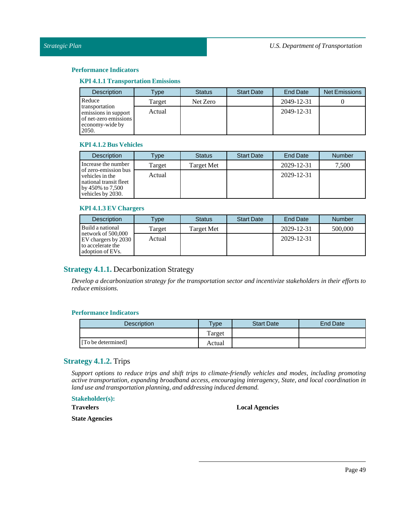#### **KPI 4.1.1 Transportation Emissions**

| <b>Description</b>                                                                          | Type   | <b>Status</b> | <b>Start Date</b> | <b>End Date</b> | <b>Net Emissions</b> |
|---------------------------------------------------------------------------------------------|--------|---------------|-------------------|-----------------|----------------------|
| Reduce                                                                                      | Target | Net Zero      |                   | 2049-12-31      |                      |
| transportation<br>emissions in support<br>of net-zero emissions<br>economy-wide by<br>2050. | Actual |               |                   | 2049-12-31      |                      |

### **KPI 4.1.2 Bus Vehicles**

| <b>Description</b>                                                                                           | Type   | <b>Status</b> | <b>Start Date</b> | <b>End Date</b> | <b>Number</b> |
|--------------------------------------------------------------------------------------------------------------|--------|---------------|-------------------|-----------------|---------------|
| Increase the number                                                                                          | Target | Target Met    |                   | 2029-12-31      | 7,500         |
| of zero-emission bus<br>vehicles in the<br>national transit fleet<br>by 450% to $7,500$<br>vehicles by 2030. | Actual |               |                   | 2029-12-31      |               |

### **KPI 4.1.3 EV Chargers**

| <b>Description</b>                                                                 | Type   | <b>Status</b>     | <b>Start Date</b> | <b>End Date</b> | <b>Number</b> |
|------------------------------------------------------------------------------------|--------|-------------------|-------------------|-----------------|---------------|
| Build a national                                                                   | Target | <b>Target Met</b> |                   | 2029-12-31      | 500,000       |
| network of 500,000<br>EV chargers by 2030<br>to accelerate the<br>adoption of EVs. | Actual |                   |                   | 2029-12-31      |               |

# **Strategy 4.1.1.** Decarbonization Strategy

*Develop a decarbonization strategy for the transportation sector and incentivize stakeholders in their efforts to reduce emissions.*

#### **Performance Indicators**

| <b>Description</b> | <b>Type</b> | <b>Start Date</b> | End Date |
|--------------------|-------------|-------------------|----------|
|                    | Target      |                   |          |
| [To be determined] | Actual      |                   |          |

# **Strategy 4.1.2.** Trips

*Support options to reduce trips and shift trips to climate-friendly vehicles and modes, including promoting active transportation, expanding broadband access, encouraging interagency, State, and local coordination in land use and transportation planning, and addressing induced demand.*

#### **Stakeholder(s):**

**Travelers**

#### **Local Agencies**

**State Agencies**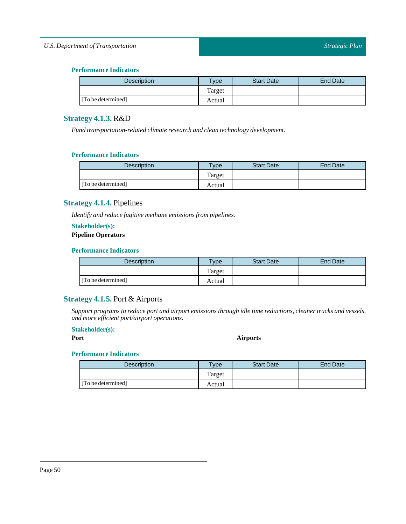## **Performance Indicators**

| Description        | <b>Type</b> | <b>Start Date</b> | <b>End Date</b> |
|--------------------|-------------|-------------------|-----------------|
|                    | Target      |                   |                 |
| [To be determined] | Actual      |                   |                 |

# **Strategy 4.1.3.** R&D

*Fund transportation-related climate research and clean technology development.*

# **Performance Indicators**

| Description        | $T$ <sub>ype</sub> | <b>Start Date</b> | <b>End Date</b> |
|--------------------|--------------------|-------------------|-----------------|
|                    | Target             |                   |                 |
| [To be determined] | Actual             |                   |                 |

# **Strategy 4.1.4.** Pipelines

*Identify and reduce fugitive methane emissions from pipelines.*

# **Stakeholder(s):**

# **Pipeline Operators**

#### **Performance Indicators**

| <b>Description</b> | $v$ pe | <b>Start Date</b> | <b>End Date</b> |
|--------------------|--------|-------------------|-----------------|
|                    | Target |                   |                 |
| [To be determined] | Actual |                   |                 |

# **Strategy 4.1.5.** Port & Airports

*Support programs to reduce port and airport emissions through idle time reductions, cleaner trucks and vessels, and more efficient port/airport operations.*

## **Stakeholder(s):**

#### **Port Airports**

| <b>Description</b> | $T$ ype | <b>Start Date</b> | <b>End Date</b> |
|--------------------|---------|-------------------|-----------------|
|                    | Target  |                   |                 |
| [To be determined] | Actual  |                   |                 |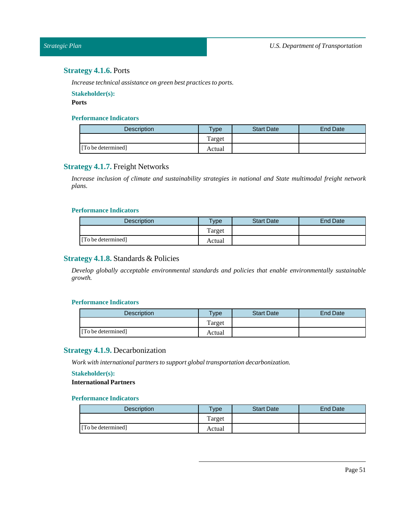# **Strategy 4.1.6.** Ports

*Increase technical assistance on green best practices to ports.*

**Stakeholder(s):**

**Ports**

#### **Performance Indicators**

| Description        | $T$ <sub>V</sub> pe | <b>Start Date</b> | End Date |
|--------------------|---------------------|-------------------|----------|
|                    | Target              |                   |          |
| [To be determined] | Actual              |                   |          |

# **Strategy 4.1.7.** Freight Networks

*Increase inclusion of climate and sustainability strategies in national and State multimodal freight network plans.*

#### **Performance Indicators**

| Description        | $v$ pe | <b>Start Date</b> | End Date |
|--------------------|--------|-------------------|----------|
|                    | Target |                   |          |
| [To be determined] | Actual |                   |          |

# **Strategy 4.1.8.** Standards & Policies

*Develop globally acceptable environmental standards and policies that enable environmentally sustainable growth.*

#### **Performance Indicators**

| <b>Description</b> | <b>Type</b> | <b>Start Date</b> | <b>End Date</b> |
|--------------------|-------------|-------------------|-----------------|
|                    | Target      |                   |                 |
| [To be determined] | Actual      |                   |                 |

# **Strategy 4.1.9.** Decarbonization

*Work* with international partners to support global transportation decarbonization.

#### **Stakeholder(s):**

#### **International Partners**

| Description        | <b>VDe</b> | <b>Start Date</b> | <b>End Date</b> |
|--------------------|------------|-------------------|-----------------|
|                    | Target     |                   |                 |
| [To be determined] | Actual     |                   |                 |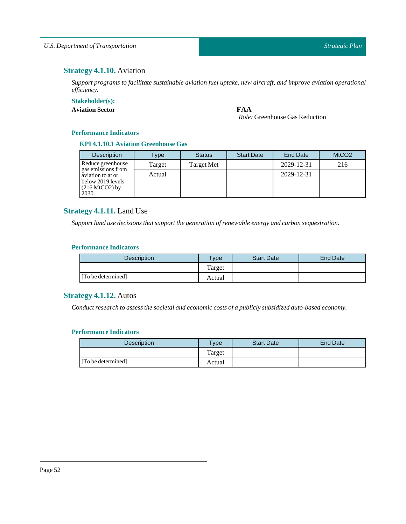# **Strategy 4.1.10.** Aviation

*Support programs to facilitate sustainable aviation fuel uptake, new aircraft, and improve aviation operational efficiency.*

**Stakeholder(s):**

Aviation Sector **FAA** 

*Role:* Greenhouse Gas Reduction

# **Performance Indicators**

**KPI 4.1.10.1 Aviation Greenhouse Gas**

| <b>Description</b>                                                                                | Type   | <b>Status</b> | <b>Start Date</b> | End Date   | MtCO <sub>2</sub> |
|---------------------------------------------------------------------------------------------------|--------|---------------|-------------------|------------|-------------------|
| Reduce greenhouse                                                                                 | Target | Target Met    |                   | 2029-12-31 | 216               |
| gas emissions from<br>aviation to at or<br>below 2019 levels<br>$(216 \text{ MtCO2})$ by<br>2030. | Actual |               |                   | 2029-12-31 |                   |

# **Strategy 4.1.11.** Land Use

*Supportland use decisions that supportthe generation of renewable energy and carbon sequestration.*

# **Performance Indicators**

| <b>Description</b> | $T$ <sub>V</sub> $pe$ | <b>Start Date</b> | End Date |
|--------------------|-----------------------|-------------------|----------|
|                    | Target                |                   |          |
| [To be determined] | Actual                |                   |          |

# **Strategy 4.1.12.** Autos

*Conduct research to assess the societal and economic costs of a publicly subsidized auto-based economy.*

| Description        | <b>Type</b> | <b>Start Date</b> | End Date |
|--------------------|-------------|-------------------|----------|
|                    | Target      |                   |          |
| [To be determined] | Actual      |                   |          |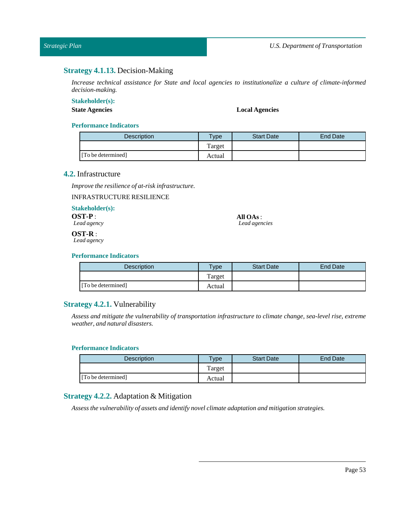# **Strategy 4.1.13.** Decision-Making

*Increase technical assistance for State and local agencies to institutionalize a culture of climate-informed decision-making.*

# **Stakeholder(s):**

**State Agencies Local Agencies**

#### **Performance Indicators**

| <b>Description</b> | <b>Type</b> | <b>Start Date</b> | <b>End Date</b> |
|--------------------|-------------|-------------------|-----------------|
|                    | Target      |                   |                 |
| [To be determined] | Actual      |                   |                 |

# **4.2.** Infrastructure

*Improve the resilience of at-risk infrastructure.*

# INFRASTRUCTURE RESILIENCE

**Stakeholder(s): OST-P** : *Lead agency*

#### **All OAs**: *Lead agencies*

**OST-R** :

*Lead agency*

# **Performance Indicators**

| <b>Description</b> | $T$ vpe | <b>Start Date</b> | End Date |
|--------------------|---------|-------------------|----------|
|                    | Target  |                   |          |
| [To be determined] | Actual  |                   |          |

# **Strategy 4.2.1.** Vulnerability

*Assess and mitigate the vulnerability of transportation infrastructure to climate change, sea-level rise, extreme weather, and natural disasters.*

## **Performance Indicators**

| <b>Description</b> | $T$ ype | <b>Start Date</b> | <b>End Date</b> |
|--------------------|---------|-------------------|-----------------|
|                    | Target  |                   |                 |
| [To be determined] | Actual  |                   |                 |

# **Strategy 4.2.2.** Adaptation & Mitigation

*Assess the vulnerability of assets and identify novel climate adaptation and mitigation strategies.*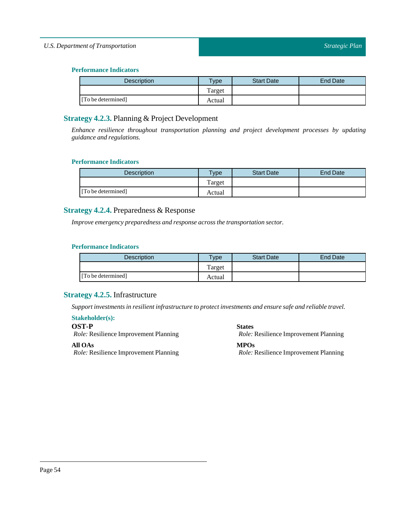## **Performance Indicators**

| <b>Description</b> | <b>Type</b> | <b>Start Date</b> | <b>End Date</b> |
|--------------------|-------------|-------------------|-----------------|
|                    | Target      |                   |                 |
| [To be determined] | Actual      |                   |                 |

# **Strategy 4.2.3.** Planning & Project Development

*Enhance resilience throughout transportation planning and project development processes by updating guidance and regulations.*

#### **Performance Indicators**

| <b>Description</b> | <b>Vpe</b> | <b>Start Date</b> | End Date |
|--------------------|------------|-------------------|----------|
|                    | Target     |                   |          |
| [To be determined] | Actual     |                   |          |

# **Strategy 4.2.4.** Preparedness & Response

*Improve emergency preparedness and response across the transportation sector.*

#### **Performance Indicators**

| <b>Description</b> | $T$ <sub>V</sub> pe | <b>Start Date</b> | <b>End Date</b> |
|--------------------|---------------------|-------------------|-----------------|
|                    | Target              |                   |                 |
| [To be determined] | Actual              |                   |                 |

# **Strategy 4.2.5.** Infrastructure

*Supportinvestments in resilientinfrastructure to protectinvestments and ensure safe and reliable travel.*

# **Stakeholder(s):**

**OST-P**

*Role:* Resilience Improvement Planning

**All OAs**

*Role:* Resilience Improvement Planning

**States** *Role:* Resilience Improvement Planning

**MPOs** *Role:* Resilience Improvement Planning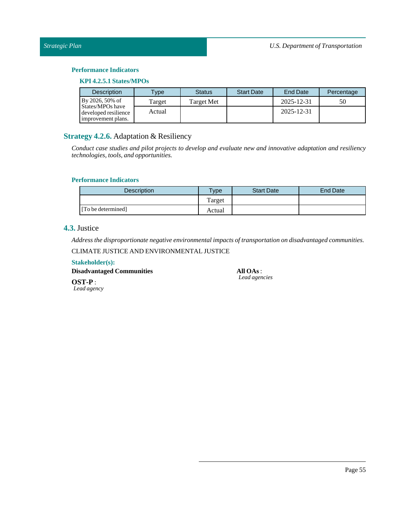## **KPI 4.2.5.1States/MPOs**

| <b>Description</b>                                             | Type   | <b>Status</b> | <b>Start Date</b> | <b>End Date</b> | Percentage |
|----------------------------------------------------------------|--------|---------------|-------------------|-----------------|------------|
| By 2026, 50% of                                                | Target | Target Met    |                   | 2025-12-31      | 50         |
| States/MPOs have<br>developed resilience<br>improvement plans. | Actual |               |                   | 2025-12-31      |            |

# **Strategy 4.2.6.** Adaptation & Resiliency

*Conduct case studies and pilot projects to develop and evaluate new and innovative adaptation and resiliency technologies,tools, and opportunities.*

#### **Performance Indicators**

| Description        | $T$ <sub>V</sub> $pe$ | <b>Start Date</b> | End Date |
|--------------------|-----------------------|-------------------|----------|
|                    | Target                |                   |          |
| [To be determined] | Actual                |                   |          |

# **4.3.** Justice

*Address the disproportionate negative environmentalimpacts oftransportation on disadvantaged communities.*

# CLIMATE JUSTICE AND ENVIRONMENTAL JUSTICE

#### **Stakeholder(s):**

**Disadvantaged Communities**

**All OAs**: *Lead agencies*

**OST-P** : *Lead agency*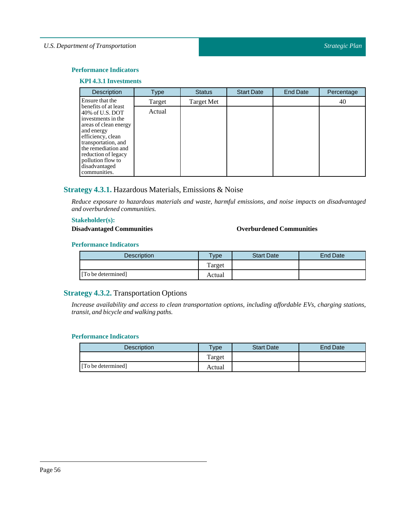# **KPI 4.3.1 Investments**

| Description                                                                                                                                                                                                                                          | <b>Type</b> | <b>Status</b> | <b>Start Date</b> | <b>End Date</b> | Percentage |
|------------------------------------------------------------------------------------------------------------------------------------------------------------------------------------------------------------------------------------------------------|-------------|---------------|-------------------|-----------------|------------|
| Ensure that the                                                                                                                                                                                                                                      | Target      | Target Met    |                   |                 | 40         |
| benefits of at least<br>40% of U.S. DOT<br>investments in the<br>areas of clean energy<br>and energy<br>efficiency, clean<br>transportation, and<br>the remediation and<br>reduction of legacy<br>pollution flow to<br>disadvantaged<br>communities. | Actual      |               |                   |                 |            |

# **Strategy 4.3.1.** Hazardous Materials, Emissions & Noise

*Reduce exposure to hazardous materials and waste, harmful emissions, and noise impacts on disadvantaged and overburdened communities.*

#### **Stakeholder(s):**

### **Disadvantaged Communities Overburdened Communities**

#### **Performance Indicators**

| <b>Description</b> | $T$ <sub>V</sub> pe | <b>Start Date</b> | End Date |
|--------------------|---------------------|-------------------|----------|
|                    | Target              |                   |          |
| [To be determined] | Actual              |                   |          |

# **Strategy 4.3.2.** Transportation Options

*Increase availability and access to clean transportation options, including affordable EVs, charging stations, transit, and bicycle and walking paths.*

| Description        | Type   | <b>Start Date</b> | End Date |
|--------------------|--------|-------------------|----------|
|                    | Target |                   |          |
| [To be determined] | Actual |                   |          |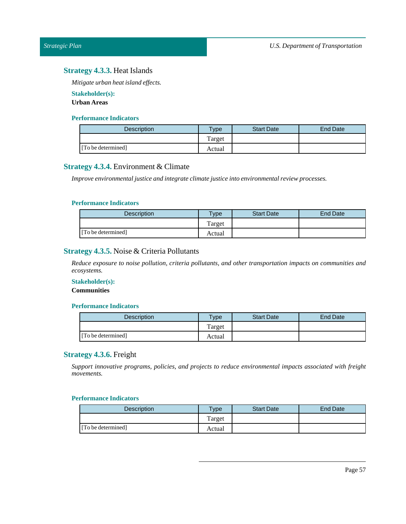# **Strategy 4.3.3.** Heat Islands

*Mitigate urban heatisland effects.*

#### **Stakeholder(s):**

**Urban Areas**

#### **Performance Indicators**

| <b>Description</b> | $T$ <sub>V</sub> pe | <b>Start Date</b> | End Date |
|--------------------|---------------------|-------------------|----------|
|                    | Target              |                   |          |
| [To be determined] | Actual              |                   |          |

# **Strategy 4.3.4.** Environment & Climate

*Improve environmentaljustice and integrate climate justice into environmental review processes.*

#### **Performance Indicators**

| <b>Description</b> | Type   | <b>Start Date</b> | End Date |
|--------------------|--------|-------------------|----------|
|                    | Target |                   |          |
| [To be determined] | Actual |                   |          |

# **Strategy 4.3.5.** Noise & Criteria Pollutants

*Reduce exposure to noise pollution, criteria pollutants, and other transportation impacts on communities and ecosystems.*

#### **Stakeholder(s):**

# **Communities**

#### **Performance Indicators**

| <b>Description</b> | $T$ ype | <b>Start Date</b> | End Date |
|--------------------|---------|-------------------|----------|
|                    | Target  |                   |          |
| [To be determined] | Actual  |                   |          |

# **Strategy 4.3.6.** Freight

*Support innovative programs, policies, and projects to reduce environmental impacts associated with freight movements.*

| <b>Description</b> | <b>Type</b> | <b>Start Date</b> | End Date |
|--------------------|-------------|-------------------|----------|
|                    | Target      |                   |          |
| [To be determined] | Actual      |                   |          |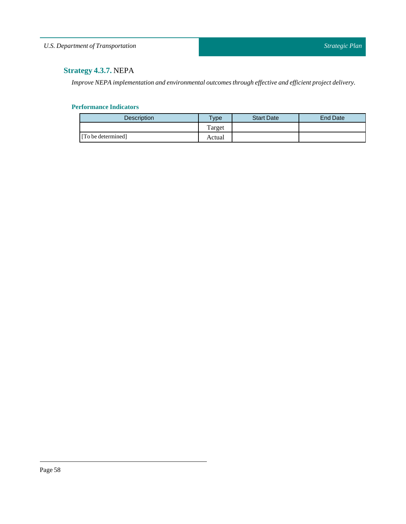# **Strategy 4.3.7.** NEPA

*Improve NEPA implementation and environmental outcomes through effective and efficient project delivery.*

| <b>Description</b> | <b>VDe</b> | <b>Start Date</b> | End Date |
|--------------------|------------|-------------------|----------|
|                    | Target     |                   |          |
| [To be determined] | Actual     |                   |          |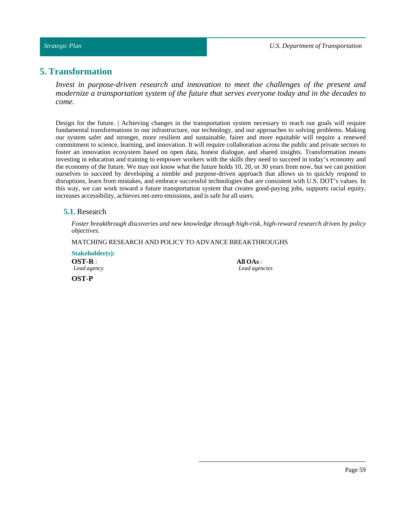# **5. Transformation**

*Invest in purpose-driven research and innovation to meet the challenges of the present and modernize a transportation system of the future that serves everyone today and in the decades to come.*

Design for the future. | Achieving changes in the transportation system necessary to reach our goals will require fundamental transformations to our infrastructure, our technology, and our approaches to solving problems. Making our system safer and stronger, more resilient and sustainable, fairer and more equitable will require a renewed commitment to science, learning, and innovation. It will require collaboration across the public and private sectors to foster an innovation ecosystem based on open data, honest dialogue, and shared insights. Transformation means investing in education and training to empower workers with the skills they need to succeed in today's economy and the economy of the future. We may not know what the future holds 10, 20, or 30 years from now, but we can position ourselves to succeed by developing a nimble and purpose-driven approach that allows us to quickly respond to disruptions, learn from mistakes, and embrace successful technologies that are consistent with U.S. DOT's values. In this way, we can work toward a future transportation system that creates good-paying jobs, supports racial equity, increases accessibility, achieves net-zero emissions, and is safe for all users.

# **5.1.** Research

*Foster breakthrough discoveries and new knowledge through high-risk, high-reward research driven by policy objectives.*

MATCHING RESEARCH AND POLICY TO ADVANCE BREAKTHROUGHS

**Stakeholder(s): OST-R** : *Lead agency*

**OST-P**

**All OAs**: *Lead agencies*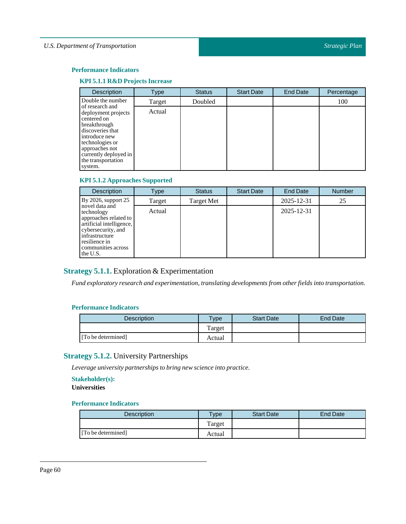## **KPI 5.1.1 R&D Projects Increase**

| <b>Description</b>                                                                                                                                                                                        | Type   | <b>Status</b> | <b>Start Date</b> | End Date | Percentage |
|-----------------------------------------------------------------------------------------------------------------------------------------------------------------------------------------------------------|--------|---------------|-------------------|----------|------------|
| Double the number                                                                                                                                                                                         | Target | Doubled       |                   |          | 100        |
| of research and<br>deployment projects<br>centered on<br>breakthrough<br>discoveries that<br>introduce new<br>technologies or<br>approaches not<br>currently deployed in<br>the transportation<br>system. | Actual |               |                   |          |            |

# **KPI 5.1.2 Approaches Supported**

| <b>Description</b>                                                                                                                                                           | Type   | <b>Status</b> | <b>Start Date</b> | <b>End Date</b> | Number |
|------------------------------------------------------------------------------------------------------------------------------------------------------------------------------|--------|---------------|-------------------|-----------------|--------|
| By 2026, support $25$                                                                                                                                                        | Target | Target Met    |                   | 2025-12-31      | 25     |
| novel data and<br>technology<br>approaches related to<br>artificial intelligence,<br>cybersecurity, and<br>infrastructure<br>resilience in<br>communities across<br>the U.S. | Actual |               |                   | 2025-12-31      |        |

# **Strategy 5.1.1.** Exploration & Experimentation

*Fund exploratory research and experimentation,translating developments from other fields into transportation.*

## **Performance Indicators**

| <b>Description</b> | $T$ vpe | <b>Start Date</b> | End Date |
|--------------------|---------|-------------------|----------|
|                    | Target  |                   |          |
| [To be determined] | Actual  |                   |          |

# **Strategy 5.1.2.** University Partnerships

*Leverage university partnerships to bring new science into practice.*

# **Stakeholder(s):**

# **Universities**

| <b>Description</b> | <b>Type</b> | <b>Start Date</b> | End Date |
|--------------------|-------------|-------------------|----------|
|                    | Target      |                   |          |
| [To be determined] | Actual      |                   |          |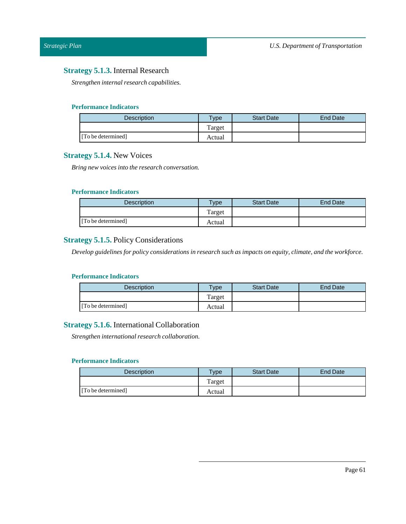# **Strategy 5.1.3.** Internal Research

*Strengthen internal research capabilities.*

# **Performance Indicators**

| <b>Description</b> | $T$ <sub>V</sub> $pe$ | <b>Start Date</b> | End Date |
|--------------------|-----------------------|-------------------|----------|
|                    | Target                |                   |          |
| [To be determined] | Actual                |                   |          |

# **Strategy 5.1.4.** New Voices

*Bring new voices into the research conversation.*

#### **Performance Indicators**

| Description        | $T$ vpe | <b>Start Date</b> | End Date |
|--------------------|---------|-------------------|----------|
|                    | Target  |                   |          |
| [To be determined] | Actual  |                   |          |

# **Strategy 5.1.5.** Policy Considerations

*Develop guidelines for policy considerations in research such as impacts on equity, climate, and the workforce.*

#### **Performance Indicators**

| Description        | <b>Type</b> | <b>Start Date</b> | End Date |
|--------------------|-------------|-------------------|----------|
|                    | Target      |                   |          |
| [To be determined] | Actual      |                   |          |

# **Strategy 5.1.6.** International Collaboration

*Strengthen international research collaboration.*

| Description        | $v_{\rm p}$ | <b>Start Date</b> | End Date |
|--------------------|-------------|-------------------|----------|
|                    | Target      |                   |          |
| [To be determined] | Actual      |                   |          |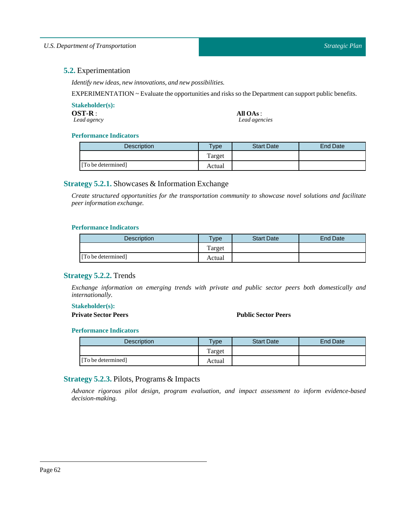# **5.2.** Experimentation

*Identify new ideas, new innovations, and new possibilities.*

EXPERIMENTATION ~ Evaluate the opportunities and risks so the Department can support public benefits.

#### **Stakeholder(s):**

**OST-R** : *Lead agency* **All OAs**: *Lead agencies*

**Performance Indicators**

| Description        | Type   | <b>Start Date</b> | <b>End Date</b> |
|--------------------|--------|-------------------|-----------------|
|                    | Target |                   |                 |
| [To be determined] | Actual |                   |                 |

# **Strategy 5.2.1.** Showcases & Information Exchange

*Create structured opportunities for the transportation community to showcase novel solutions and facilitate peer information exchange.*

#### **Performance Indicators**

| Description        | <b>Type</b> | <b>Start Date</b> | End Date |
|--------------------|-------------|-------------------|----------|
|                    | Target      |                   |          |
| [To be determined] | Actual      |                   |          |

## **Strategy 5.2.2.** Trends

*Exchange information on emerging trends with private and public sector peers both domestically and internationally.*

# **Stakeholder(s):**

#### **Private Sector Peers Public Sector Peers Public Sector Peers**

#### **Performance Indicators**

| <b>Description</b> | $T$ <sub>ype</sub> | <b>Start Date</b> | End Date |
|--------------------|--------------------|-------------------|----------|
|                    | Target             |                   |          |
| [To be determined] | Actual             |                   |          |

# **Strategy 5.2.3.** Pilots, Programs & Impacts

*Advance rigorous pilot design, program evaluation, and impact assessment to inform evidence-based decision-making.*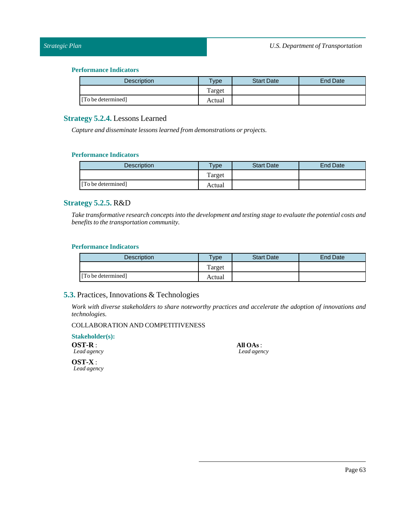| Description        | Type   | <b>Start Date</b> | <b>End Date</b> |
|--------------------|--------|-------------------|-----------------|
|                    | Target |                   |                 |
| [To be determined] | Actual |                   |                 |

# **Strategy 5.2.4.** Lessons Learned

*Capture and disseminate lessons learned from demonstrations or projects.*

#### **Performance Indicators**

| Description        | $T$ <sub>ype</sub> | <b>Start Date</b> | <b>End Date</b> |
|--------------------|--------------------|-------------------|-----------------|
|                    | Target             |                   |                 |
| [To be determined] | Actual             |                   |                 |

# **Strategy 5.2.5.** R&D

*Take transformative research concepts into the development and testing stage to evaluate the potential costs and benefits to the transportation community.*

#### **Performance Indicators**

| <b>Description</b> | $T$ ype | <b>Start Date</b> | <b>End Date</b> |
|--------------------|---------|-------------------|-----------------|
|                    | Target  |                   |                 |
| [To be determined] | Actual  |                   |                 |

# **5.3.** Practices, Innovations & Technologies

*Work with diverse stakeholders to share noteworthy practices and accelerate the adoption of innovations and technologies.*

COLLABORATION AND COMPETITIVENESS

**Stakeholder(s): OST-R** : *Lead agency*

**All OAs**: *Lead agency*

**OST-X** : *Lead agency*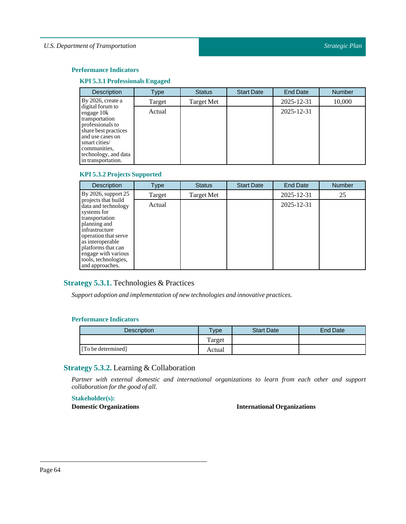#### **KPI 5.3.1 Professionals Engaged**

| <b>Description</b>                                                                                                                                                                              | Type   | <b>Status</b> | <b>Start Date</b> | <b>End Date</b> | <b>Number</b> |
|-------------------------------------------------------------------------------------------------------------------------------------------------------------------------------------------------|--------|---------------|-------------------|-----------------|---------------|
| By 2026, create a                                                                                                                                                                               | Target | Target Met    |                   | 2025-12-31      | 10,000        |
| digital forum to<br>engage 10k<br>transportation<br>professionals to<br>share best practices<br>and use cases on<br>smart cities/<br>communities.<br>technology, and data<br>in transportation. | Actual |               |                   | 2025-12-31      |               |

# **KPI 5.3.2** Projects Supported

| Description                                                                                                                                                                                                                                       | Type   | <b>Status</b> | <b>Start Date</b> | <b>End Date</b> | <b>Number</b> |
|---------------------------------------------------------------------------------------------------------------------------------------------------------------------------------------------------------------------------------------------------|--------|---------------|-------------------|-----------------|---------------|
| By 2026, support $25$                                                                                                                                                                                                                             | Target | Target Met    |                   | 2025-12-31      | 25            |
| projects that build<br>data and technology<br>systems for<br>transportation<br>planning and<br>infrastructure<br>operation that serve<br>as interoperable<br>platforms that can<br>engage with various<br>tools, technologies,<br>and approaches. | Actual |               |                   | 2025-12-31      |               |

# **Strategy 5.3.1.** Technologies & Practices

*Support adoption and implementation of new technologies and innovative practices.*

## **Performance Indicators**

| <b>Description</b> | $T$ <sub>V</sub> pe | <b>Start Date</b> | <b>End Date</b> |
|--------------------|---------------------|-------------------|-----------------|
|                    | Target              |                   |                 |
| [To be determined] | Actual              |                   |                 |

# **Strategy 5.3.2.** Learning & Collaboration

*Partner with external domestic and international organizations to learn from each other and support collaboration for the good of all.*

**Stakeholder(s):**

#### **Domestic Organizations International Organizations**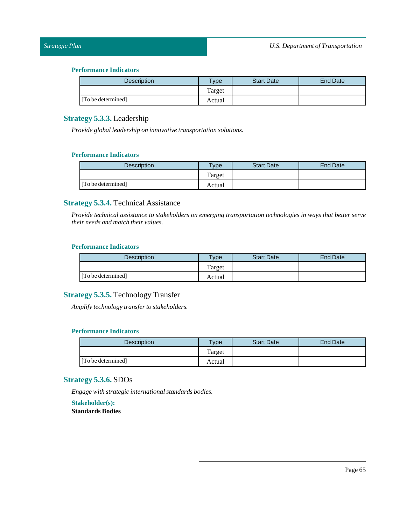| Description        | $T$ ype | <b>Start Date</b> | <b>End Date</b> |
|--------------------|---------|-------------------|-----------------|
|                    | Target  |                   |                 |
| [To be determined] | Actual  |                   |                 |

# **Strategy 5.3.3.** Leadership

*Provide globalleadership on innovative transportation solutions.*

# **Performance Indicators**

| <b>Description</b> | vpe    | <b>Start Date</b> | End Date |
|--------------------|--------|-------------------|----------|
|                    | Target |                   |          |
| [To be determined] | Actual |                   |          |

# **Strategy 5.3.4.** Technical Assistance

*Provide technical assistance to stakeholders on emerging transportation technologies in ways that better serve their needs and match their values.*

#### **Performance Indicators**

| <b>Description</b> | Type   | <b>Start Date</b> | <b>End Date</b> |
|--------------------|--------|-------------------|-----------------|
|                    | Target |                   |                 |
| [To be determined] | Actual |                   |                 |

# **Strategy 5.3.5.** Technology Transfer

*Amplify technology transfer to stakeholders.*

## **Performance Indicators**

| <b>Description</b> | <b>Type</b> | <b>Start Date</b> | <b>End Date</b> |
|--------------------|-------------|-------------------|-----------------|
|                    | Target      |                   |                 |
| [To be determined] | Actual      |                   |                 |

# **Strategy 5.3.6.** SDOs

*Engage with strategic international standards bodies.*

**Stakeholder(s): Standards Bodies**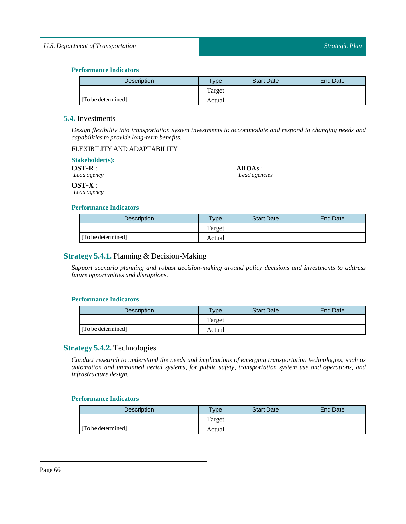#### **Performance Indicators**

| Description        | $T$ ype | <b>Start Date</b> | <b>End Date</b> |
|--------------------|---------|-------------------|-----------------|
|                    | Target  |                   |                 |
| [To be determined] | Actual  |                   |                 |

# **5.4.** Investments

*Design flexibility into transportation system investments to accommodate and respond to changing needs and capabilities to provide long-term benefits.*

#### FLEXIBILITY AND ADAPTABILITY

| <b>Stakeholder(s):</b> |  |
|------------------------|--|
| $OST-R:$               |  |
| Lead agency            |  |
| лст V .                |  |

**All OAs**: *Lead agencies*

**OST-X** : *Lead agency*

### **Performance Indicators**

| <b>Description</b> | Type   | <b>Start Date</b> | <b>End Date</b> |
|--------------------|--------|-------------------|-----------------|
|                    | Target |                   |                 |
| [To be determined] | Actual |                   |                 |

# **Strategy 5.4.1.** Planning & Decision-Making

*Support scenario planning and robust decision-making around policy decisions and investments to address future opportunities and disruptions.*

#### **Performance Indicators**

| Description        | $T$ ype | <b>Start Date</b> | End Date |
|--------------------|---------|-------------------|----------|
|                    | Target  |                   |          |
| [To be determined] | Actual  |                   |          |

# **Strategy 5.4.2.** Technologies

*Conduct research to understand the needs and implications of emerging transportation technologies, such as automation and unmanned aerial systems, for public safety, transportation system use and operations, and infrastructure design.*

| <b>Description</b> | <b>Type</b> | <b>Start Date</b> | <b>End Date</b> |
|--------------------|-------------|-------------------|-----------------|
|                    | Target      |                   |                 |
| [To be determined] | Actual      |                   |                 |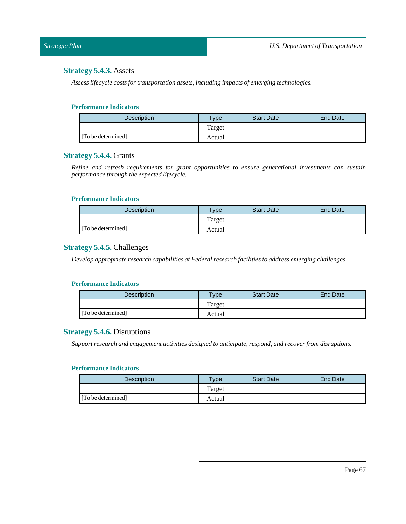# **Strategy 5.4.3.** Assets

*Assess lifecycle costs for transportation assets,including impacts of emerging technologies.*

### **Performance Indicators**

| <b>Description</b> | $T$ vpe | <b>Start Date</b> | End Date |
|--------------------|---------|-------------------|----------|
|                    | Target  |                   |          |
| [To be determined] | Actual  |                   |          |

# **Strategy 5.4.4.** Grants

*Refine and refresh requirements for grant opportunities to ensure generational investments can sustain performance through the expected lifecycle.*

#### **Performance Indicators**

| <b>Description</b> | <b>Type</b> | <b>Start Date</b> | <b>End Date</b> |
|--------------------|-------------|-------------------|-----------------|
|                    | Target      |                   |                 |
| [To be determined] | Actual      |                   |                 |

# **Strategy 5.4.5.** Challenges

*Develop appropriate research capabilities at Federal research facilities to address emerging challenges.*

#### **Performance Indicators**

| <b>Description</b> | Type   | <b>Start Date</b> | End Date |
|--------------------|--------|-------------------|----------|
|                    | Target |                   |          |
| [To be determined] | Actual |                   |          |

# **Strategy 5.4.6.** Disruptions

*Support research and engagement activities designed to anticipate, respond, and recover from disruptions.*

| <b>Description</b> | $T$ <sub>V</sub> pe | <b>Start Date</b> | End Date |
|--------------------|---------------------|-------------------|----------|
|                    | Target              |                   |          |
| [To be determined] | Actual              |                   |          |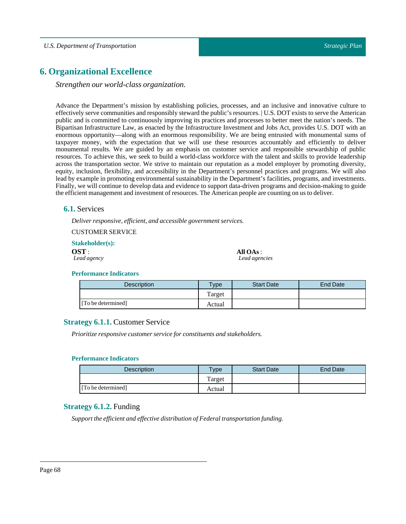# **6.** Organizational Excellence

*Strengthen our world-class organization.*

Advance the Department's mission by establishing policies, processes, and an inclusive and innovative culture to effectively serve communities and responsibly steward the public's resources. | U.S. DOT exists to serve the American public and is committed to continuously improving its practices and processes to better meet the nation's needs. The Bipartisan Infrastructure Law, as enacted by the Infrastructure Investment and Jobs Act, provides U.S. DOT with an enormous opportunity—along with an enormous responsibility. We are being entrusted with monumental sums of taxpayer money, with the expectation that we will use these resources accountably and efficiently to deliver monumental results. We are guided by an emphasis on customer service and responsible stewardship of public resources. To achieve this, we seek to build a world-class workforce with the talent and skills to provide leadership across the transportation sector. We strive to maintain our reputation as a model employer by promoting diversity, equity, inclusion, flexibility, and accessibility in the Department's personnel practices and programs. We will also lead by example in promoting environmental sustainability in the Department's facilities, programs, and investments. Finally, we will continue to develop data and evidence to support data-driven programs and decision-making to guide the efficient management and investment of resources. The American people are counting on us to deliver.

## **6.1.** Services

*Deliver responsive, efficient, and accessible government services.*

CUSTOMER SERVICE

| <b>Stakeholder(s):</b> |  |
|------------------------|--|
| OST:                   |  |
| Lead agency            |  |

**All OAs**: *Lead agencies*

#### **Performance Indicators**

| <b>Description</b> | <b>Type</b> | <b>Start Date</b> | End Date |
|--------------------|-------------|-------------------|----------|
|                    | Target      |                   |          |
| [To be determined] | Actual      |                   |          |

## **Strategy 6.1.1.** Customer Service

*Prioritize responsive customer service for constituents and stakeholders.*

#### **Performance Indicators**

| <b>Description</b> | <b>Type</b> | <b>Start Date</b> | <b>End Date</b> |
|--------------------|-------------|-------------------|-----------------|
|                    | l'arget     |                   |                 |
| [To be determined] | Actual      |                   |                 |

# **Strategy 6.1.2.** Funding

*Support the efficient and effective distribution of Federal transportation funding.*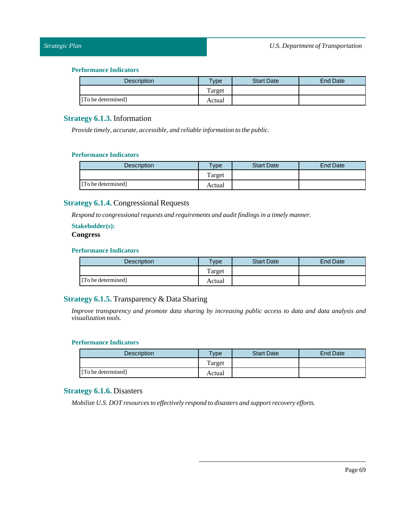| <b>Description</b> | <b>Type</b> | <b>Start Date</b> | <b>End Date</b> |
|--------------------|-------------|-------------------|-----------------|
|                    | Target      |                   |                 |
| [To be determined] | Actual      |                   |                 |

# **Strategy 6.1.3.** Information

*Provide timely, accurate, accessible, and reliable information to the public.*

# **Performance Indicators**

| Description        | $T$ <sub>V</sub> pe | <b>Start Date</b> | <b>End Date</b> |
|--------------------|---------------------|-------------------|-----------------|
|                    | Target              |                   |                 |
| [To be determined] | Actual              |                   |                 |

# **Strategy 6.1.4.** Congressional Requests

*Respond to congressional requests and requirements and auditfindings in a timely manner.*

#### **Stakeholder(s):**

# **Congress**

#### **Performance Indicators**

| <b>Description</b> | <b>Type</b> | <b>Start Date</b> | <b>End Date</b> |
|--------------------|-------------|-------------------|-----------------|
|                    | Target      |                   |                 |
| [To be determined] | Actual      |                   |                 |

# **Strategy 6.1.5.** Transparency & Data Sharing

*Improve transparency and promote data sharing by increasing public access to data and data analysis and visualization tools.*

# **Performance Indicators**

| Description        | $T$ <sub>V</sub> $pe$ | <b>Start Date</b> | <b>End Date</b> |
|--------------------|-----------------------|-------------------|-----------------|
|                    | l'arget               |                   |                 |
| [To be determined] | Actual                |                   |                 |

# **Strategy 6.1.6.** Disasters

*Mobilize U.S. DOTresources to effectively respond to disasters and support recovery efforts.*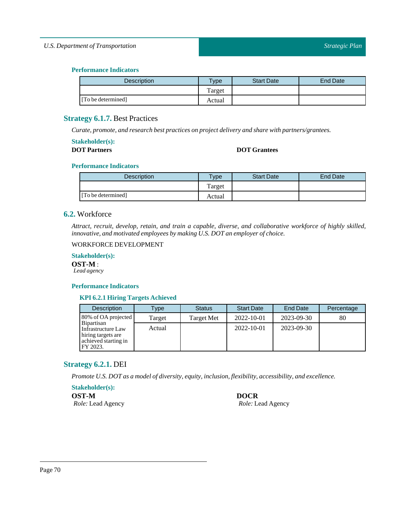## **Performance Indicators**

| Description        | Type   | <b>Start Date</b> | <b>End Date</b> |
|--------------------|--------|-------------------|-----------------|
|                    | Target |                   |                 |
| [To be determined] | Actual |                   |                 |

# **Strategy 6.1.7.** Best Practices

*Curate, promote, and research best practices on project delivery and share with partners/grantees.*

# **Stakeholder(s):**

### **DOT Partners DOT Grantees**

#### **Performance Indicators**

| <b>Description</b> | Type   | <b>Start Date</b> | End Date |
|--------------------|--------|-------------------|----------|
|                    | Target |                   |          |
| [To be determined] | Actual |                   |          |

# **6.2.** Workforce

*Attract, recruit, develop, retain, and train a capable, diverse, and collaborative workforce of highly skilled, innovative, and motivated employees by making U.S. DOTan employer of choice.*

# WORKFORCE DEVELOPMENT

**Stakeholder(s): OST-M** : *Lead agency*

#### **Performance Indicators**

#### **KPI 6.2.1 Hiring Targets Achieved**

| <b>Description</b>                                                                                | Type   | <b>Status</b> | <b>Start Date</b> | End Date   | Percentage |
|---------------------------------------------------------------------------------------------------|--------|---------------|-------------------|------------|------------|
| 80% of OA projected                                                                               | Target | Target Met    | 2022-10-01        | 2023-09-30 | 80         |
| <b>Bipartisan</b><br>Infrastructure Law<br>hiring targets are<br>achieved starting in<br>FY 2023. | Actual |               | 2022-10-01        | 2023-09-30 |            |

# **Strategy 6.2.1.** DEI

*Promote U.S. DOTas a model of diversity, equity,inclusion,flexibility, accessibility, and excellence.*

# **Stakeholder(s):**

**OST-M** *Role:* Lead Agency

# **DOCR**

*Role:* Lead Agency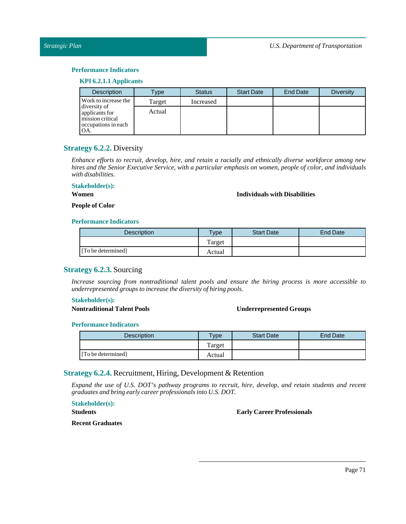#### **KPI 6.2.1.1 Applicants**

| <b>Description</b>                                                               | Type   | <b>Status</b> | <b>Start Date</b> | <b>End Date</b> | <b>Diversity</b> |
|----------------------------------------------------------------------------------|--------|---------------|-------------------|-----------------|------------------|
| Work to increase the                                                             | Target | Increased     |                   |                 |                  |
| diversity of<br>applicants for<br>mission critical<br>occupations in each<br>OA. | Actual |               |                   |                 |                  |

## **Strategy 6.2.2.** Diversity

*Enhance efforts to recruit, develop, hire, and retain a racially and ethnically diverse workforce among new* hires and the Senior Executive Service, with a particular emphasis on women, people of color, and individuals *with disabilities.*

**Stakeholder(s):**

#### **Individuals with Disabilities**

**People of Color**

**Women**

#### **Performance Indicators**

| Description        | $T$ <sub>ype</sub> | <b>Start Date</b> | End Date |
|--------------------|--------------------|-------------------|----------|
|                    | Target             |                   |          |
| [To be determined] | Actual             |                   |          |

# **Strategy 6.2.3.** Sourcing

*Increase sourcing from nontraditional talent pools and ensure the hiring process is more accessible to underrepresented groups to increase the diversity of hiring pools.*

#### **Stakeholder(s):**

**Nontraditional Talent Pools Underrepresented Groups**

#### **Performance Indicators**

| Description        | <b>Type</b> | <b>Start Date</b> | End Date |
|--------------------|-------------|-------------------|----------|
|                    | Target      |                   |          |
| [To be determined] | Actual      |                   |          |

# **Strategy 6.2.4.** Recruitment, Hiring, Development & Retention

*Expand the use of U.S. DOT's pathway programs to recruit, hire, develop, and retain students and recent graduates and bring early career professionals into U.S. DOT.*

**Stakeholder(s):**

**Students**

#### **Early Career Professionals**

**Recent Graduates**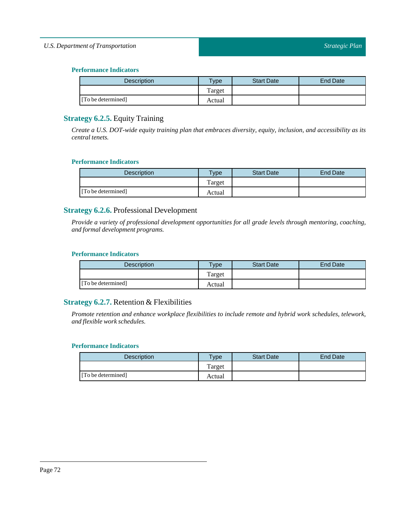# **Performance Indicators**

| <b>Description</b> | $T$ <sub>ype</sub> | <b>Start Date</b> | End Date |
|--------------------|--------------------|-------------------|----------|
|                    | Target             |                   |          |
| [To be determined] | Actual             |                   |          |

# **Strategy 6.2.5.** Equity Training

*Create a U.S. DOT-wide equity training plan that embraces diversity, equity, inclusion, and accessibility as its central tenets.* 

# **Performance Indicators**

| <b>Description</b> | <b>Vpe</b> | <b>Start Date</b> | <b>End Date</b> |
|--------------------|------------|-------------------|-----------------|
|                    | Target     |                   |                 |
| [To be determined] | Actual     |                   |                 |

# **Strategy 6.2.6.** Professional Development

*Provide a variety of professional development opportunities for all grade levels through mentoring, coaching, and formal development programs.*

## **Performance Indicators**

| Description        | $v$ pe | <b>Start Date</b> | End Date |
|--------------------|--------|-------------------|----------|
|                    | Target |                   |          |
| [To be determined] | Actual |                   |          |

# **Strategy 6.2.7.** Retention & Flexibilities

*Promote retention and enhance workplace flexibilities to include remote and hybrid work schedules, telework, and flexible work schedules.*

| <b>Description</b> | $TV$ pe | <b>Start Date</b> | <b>End Date</b> |
|--------------------|---------|-------------------|-----------------|
|                    | Target  |                   |                 |
| [To be determined] | Actual  |                   |                 |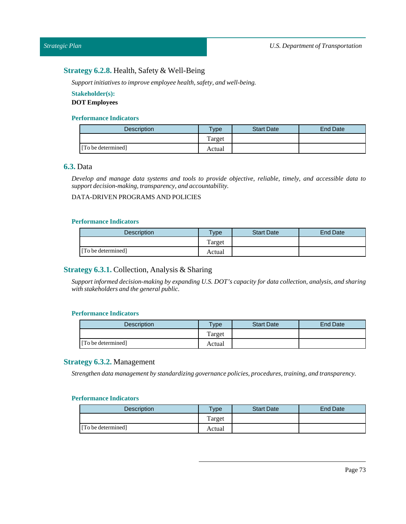## **Strategy 6.2.8.** Health, Safety & Well-Being

*Supportinitiatives to improve employee health, safety, and well-being.*

**Stakeholder(s):**

**DOT Employees**

### **Performance Indicators**

| <b>Description</b> | $v_{\rm p}$ | <b>Start Date</b> | <b>End Date</b> |
|--------------------|-------------|-------------------|-----------------|
|                    | Target      |                   |                 |
| [To be determined] | Actual      |                   |                 |

#### **6.3.** Data

*Develop and manage data systems and tools to provide objective, reliable, timely, and accessible data to*  $support decision-making, transparency, and accountability.$ 

## DATA-DRIVEN PROGRAMS AND POLICIES

#### **Performance Indicators**

| <b>Description</b> | <b>Type</b> | <b>Start Date</b> | End Date |
|--------------------|-------------|-------------------|----------|
|                    | Target      |                   |          |
| [To be determined] | Actual      |                   |          |

## **Strategy 6.3.1.** Collection, Analysis & Sharing

*Support informed decision-making by expanding U.S. DOT's capacity for data collection, analysis, and sharing with stakeholders and the general public.*

#### **Performance Indicators**

| <b>Description</b> | Type   | <b>Start Date</b> | End Date |
|--------------------|--------|-------------------|----------|
|                    | Target |                   |          |
| [To be determined] | Actual |                   |          |

## **Strategy 6.3.2.** Management

*Strengthen data management by standardizing governance policies, procedures,training, and transparency.*

| <b>Description</b> | Type   | <b>Start Date</b> | End Date |
|--------------------|--------|-------------------|----------|
|                    | Target |                   |          |
| [To be determined] | Actual |                   |          |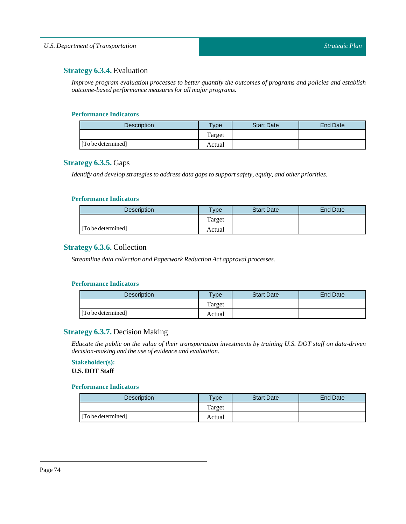## **Strategy 6.3.4.** Evaluation

*Improve program evaluation processes to better quantify the outcomes of programs and policies and establish outcome-based performance measures for all major programs.*

#### **Performance Indicators**

| <b>Description</b> | <b>Type</b> | <b>Start Date</b> | End Date |
|--------------------|-------------|-------------------|----------|
|                    | Target      |                   |          |
| [To be determined] | Actual      |                   |          |

## **Strategy 6.3.5.** Gaps

*Identify and develop strategies to address data gaps to support safety, equity, and other priorities.*

#### **Performance Indicators**

| <b>Description</b> | <b>Type</b> | <b>Start Date</b> | <b>End Date</b> |
|--------------------|-------------|-------------------|-----------------|
|                    | Target      |                   |                 |
| [To be determined] | Actual      |                   |                 |

## **Strategy 6.3.6.** Collection

*Streamline data collection and Paperwork Reduction Act approval processes.*

#### **Performance Indicators**

| <b>Description</b> | $v_{\rm p}$ | <b>Start Date</b> | End Date |
|--------------------|-------------|-------------------|----------|
|                    | Target      |                   |          |
| [To be determined] | Actual      |                   |          |

## **Strategy 6.3.7.** Decision Making

Educate the public on the value of their transportation investments by training U.S. DOT staff on data-driven *decision-making and the use of evidence and evaluation.*

## **Stakeholder(s): U.S. DOT Staff**

| <b>Description</b> | <b>Type</b> | <b>Start Date</b> | End Date |
|--------------------|-------------|-------------------|----------|
|                    | Target      |                   |          |
| [To be determined] | Actual      |                   |          |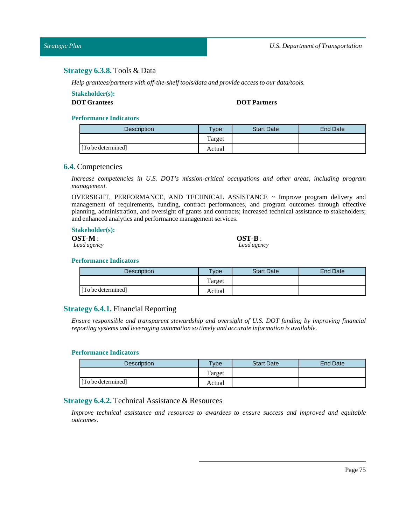#### **Strategy 6.3.8.** Tools & Data

*Help grantees/partners with off-the-shelftools/data and provide access to our data/tools.*

**Stakeholder(s):**

#### **DOT Grantees DOT Partners**

#### **Performance Indicators**

| Description        | Type   | <b>Start Date</b> | End Date |
|--------------------|--------|-------------------|----------|
|                    | Target |                   |          |
| [To be determined] | Actual |                   |          |

#### **6.4.** Competencies

*Increase competencies in U.S. DOT's mission-critical occupations and other areas, including program management.*

OVERSIGHT, PERFORMANCE, AND TECHNICAL ASSISTANCE  $\sim$  Improve program delivery and management of requirements, funding, contract performances, and program outcomes through effective planning, administration, and oversight of grants and contracts; increased technical assistance to stakeholders; and enhanced analytics and performance management services.

**Stakeholder(s):**

**OST-M** : *Lead agency* **OST-B** :

*Lead agency*

#### **Performance Indicators**

| Description        | $v$ pe | <b>Start Date</b> | End Date |
|--------------------|--------|-------------------|----------|
|                    | Target |                   |          |
| [To be determined] | Actual |                   |          |

## **Strategy 6.4.1.** Financial Reporting

*Ensure responsible and transparent stewardship and oversight of U.S. DOT funding by improving financial reporting systems and leveraging automation so timely and accurate information is available.*

#### **Performance Indicators**

| <b>Description</b> | <b>Type</b> | <b>Start Date</b> | End Date |
|--------------------|-------------|-------------------|----------|
|                    | Target      |                   |          |
| [To be determined] | Actual      |                   |          |

## **Strategy 6.4.2.** Technical Assistance & Resources

*Improve technical assistance and resources to awardees to ensure success and improved and equitable outcomes.*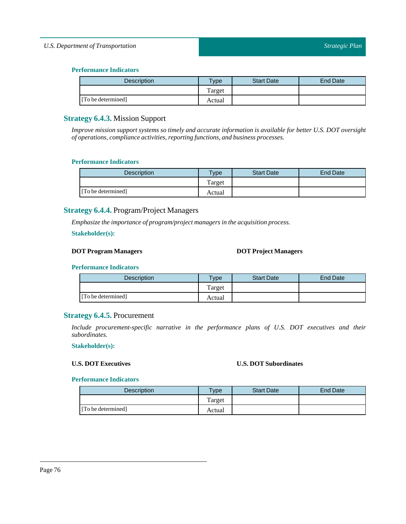#### **Performance Indicators**

| <b>Description</b> | $T$ ype | <b>Start Date</b> | End Date |
|--------------------|---------|-------------------|----------|
|                    | Target  |                   |          |
| [To be determined] | Actual  |                   |          |

## **Strategy 6.4.3.** Mission Support

*Improve mission support systems so timely and accurate information is available for better U.S. DOT oversight of operations, compliance activities, reporting functions, and business processes.*

#### **Performance Indicators**

| Description        | $v$ pe | <b>Start Date</b> | <b>End Date</b> |
|--------------------|--------|-------------------|-----------------|
|                    | Target |                   |                 |
| [To be determined] | Actual |                   |                 |

## **Strategy 6.4.4.** Program/Project Managers

*Emphasize the importance of program/project managers in the acquisition process.*

**Stakeholder(s):**

#### **DOT Program Managers DOT Project Managers**

#### **Performance Indicators**

| <b>Description</b> | $T$ <sub>V</sub> pe | <b>Start Date</b> | End Date |
|--------------------|---------------------|-------------------|----------|
|                    | Target              |                   |          |
| [To be determined] | Actual              |                   |          |

## **Strategy 6.4.5.** Procurement

*Include procurement-specific narrative in the performance plans of U.S. DOT executives and their subordinates.*

#### **Stakeholder(s):**

#### **U.S. DOT Executives U.S. DOT Subordinates**

| <b>Description</b> | $T$ vpe | <b>Start Date</b> | End Date |
|--------------------|---------|-------------------|----------|
|                    | Target  |                   |          |
| [To be determined] | Actual  |                   |          |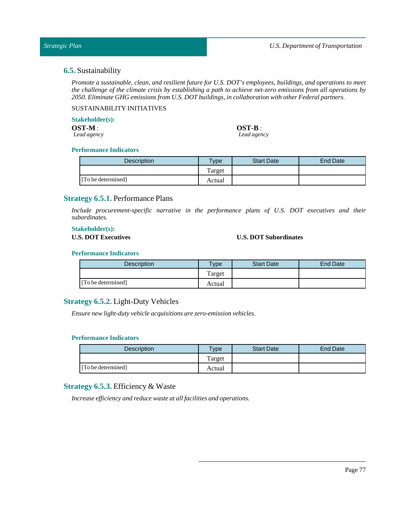## **6.5.** Sustainability

*Promote a sustainable, clean, and resilient future for U.S. DOT's employees, buildings, and operations to meet* the challenge of the climate crisis by establishing a path to achieve net-zero emissions from all operations by *2050. Eliminate GHG emissions from U.S. DOTbuildings,in collaboration with other Federal partners.*

## SUSTAINABILITY INITIATIVES

**Stakeholder(s): OST-M** : *Lead agency*

**OST-B** : *Lead agency*

#### **Performance Indicators**

| <b>Description</b> | $T$ vpe | <b>Start Date</b> | End Date |
|--------------------|---------|-------------------|----------|
|                    | Target  |                   |          |
| [To be determined] | Actual  |                   |          |

## **Strategy 6.5.1.** Performance Plans

*Include procurement-specific narrative in the performance plans of U.S. DOT executives and their subordinates.*

#### **Stakeholder(s):**

#### **U.S. DOT Executives U.S. DOT Subordinates**

#### **Performance Indicators**

| <b>Description</b> | $T$ <sub>V</sub> $pe$ | <b>Start Date</b> | <b>End Date</b> |
|--------------------|-----------------------|-------------------|-----------------|
|                    | Target                |                   |                 |
| [To be determined] | Actual                |                   |                 |

## **Strategy 6.5.2.** Light-Duty Vehicles

*Ensure new light-duty vehicle acquisitions are zero-emission vehicles.*

## **Performance Indicators**

| <b>Description</b> | $T$ <sub>V</sub> $pe$ | <b>Start Date</b> | End Date |
|--------------------|-----------------------|-------------------|----------|
|                    | l'arget               |                   |          |
| [To be determined] | Actual                |                   |          |

## **Strategy 6.5.3.** Efficiency & Waste

*Increase efficiency and reduce waste at allfacilities and operations.*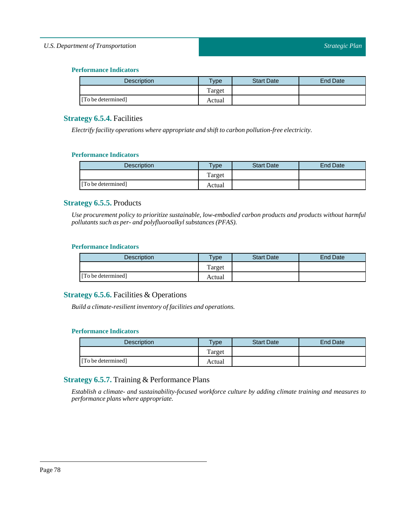## **Performance Indicators**

| <b>Description</b> | Type   | <b>Start Date</b> | <b>End Date</b> |
|--------------------|--------|-------------------|-----------------|
|                    | Target |                   |                 |
| [To be determined] | Actual |                   |                 |

## **Strategy 6.5.4.** Facilities

*Electrify facility operations where appropriate and shiftto carbon pollution-free electricity.*

## **Performance Indicators**

| <b>Description</b> | Type   | <b>Start Date</b> | <b>End Date</b> |
|--------------------|--------|-------------------|-----------------|
|                    | Target |                   |                 |
| [To be determined] | Actual |                   |                 |

## **Strategy 6.5.5.** Products

*Use procurement policy to prioritize sustainable, low-embodied carbon products and products without harmful pollutants such as per- and polyfluoroalkyl substances (PFAS).*

## **Performance Indicators**

| <b>Description</b> | $T$ ype | <b>Start Date</b> | End Date |
|--------------------|---------|-------------------|----------|
|                    | Target  |                   |          |
| [To be determined] | Actual  |                   |          |

## **Strategy 6.5.6.** Facilities & Operations

*Build a climate-resilientinventory offacilities and operations.*

## **Performance Indicators**

| <b>Description</b> | $v_{\rm p}$ | <b>Start Date</b> | <b>End Date</b> |
|--------------------|-------------|-------------------|-----------------|
|                    | Target      |                   |                 |
| [To be determined] | Actual      |                   |                 |

## **Strategy 6.5.7.** Training & Performance Plans

*Establish a climate- and sustainability-focused workforce culture by adding climate training and measures to performance plans where appropriate.*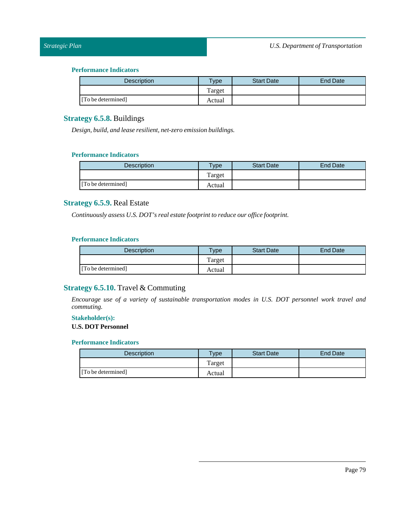#### **Performance Indicators**

| <b>Description</b> | Type   | <b>Start Date</b> | <b>End Date</b> |
|--------------------|--------|-------------------|-----------------|
|                    | Target |                   |                 |
| [To be determined] | Actual |                   |                 |

## **Strategy 6.5.8.** Buildings

*Design, build, and lease resilient, net-zero emission buildings.*

## **Performance Indicators**

| <b>Description</b> | Type   | <b>Start Date</b> | <b>End Date</b> |
|--------------------|--------|-------------------|-----------------|
|                    | Target |                   |                 |
| [To be determined] | Actual |                   |                 |

## **Strategy 6.5.9.** Real Estate

*Continuously assess U.S. DOT's real estate footprintto reduce our office footprint.*

#### **Performance Indicators**

| Description        | $v$ pe | <b>Start Date</b> | End Date |
|--------------------|--------|-------------------|----------|
|                    | Target |                   |          |
| [To be determined] | Actual |                   |          |

## **Strategy 6.5.10.** Travel & Commuting

*Encourage use of a variety of sustainable transportation modes in U.S. DOT personnel work travel and commuting.*

#### **Stakeholder(s):**

#### **U.S. DOT Personnel**

| Description        | <b>Type</b> | <b>Start Date</b> | <b>End Date</b> |
|--------------------|-------------|-------------------|-----------------|
|                    | Target      |                   |                 |
| [To be determined] | Actual      |                   |                 |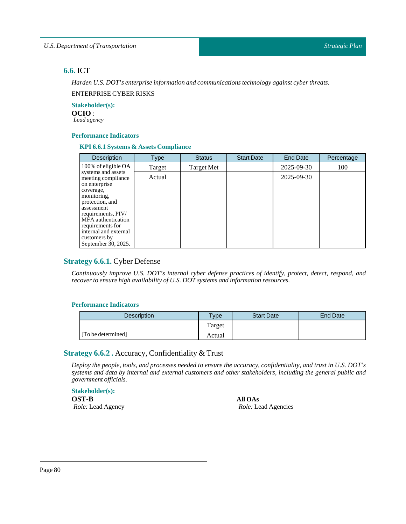## **6.6.** ICT

*Harden U.S. DOT's enterprise information and communications technology against cyber threats.*

ENTERPRISE CYBER RISKS

**Stakeholder(s):**

## **OCIO** :

*Lead agency*

#### **Performance Indicators**

## **KPI 6.6.1Systems & Assets Compliance**

| Description                                                                                                                                                                                                                                            | Type   | <b>Status</b> | <b>Start Date</b> | End Date   | Percentage |
|--------------------------------------------------------------------------------------------------------------------------------------------------------------------------------------------------------------------------------------------------------|--------|---------------|-------------------|------------|------------|
| 100% of eligible OA                                                                                                                                                                                                                                    | Target | Target Met    |                   | 2025-09-30 | 100        |
| systems and assets<br>meeting compliance<br>on enterprise<br>coverage,<br>monitoring,<br>protection, and<br>assessment<br>requirements, PIV/<br>MFA authentication<br>requirements for<br>internal and external<br>customers by<br>September 30, 2025. | Actual |               |                   | 2025-09-30 |            |

## **Strategy 6.6.1.** Cyber Defense

*Continuously improve U.S. DOT's internal cyber defense practices of identify, protect, detect, respond, and recover to ensure high availability of U.S. DOTsystems and information resources.*

## **Performance Indicators**

| <b>Description</b> | $T$ <sub>V</sub> $pe$ | <b>Start Date</b> | End Date |
|--------------------|-----------------------|-------------------|----------|
|                    | Target                |                   |          |
| [To be determined] | Actual                |                   |          |

## **Strategy 6.6.2 .** Accuracy, Confidentiality & Trust

Deploy the people, tools, and processes needed to ensure the accuracy, confidentiality, and trust in U.S. DOT's *systems and data by internal and external customers and other stakeholders, including the general public and government officials.*

**Stakeholder(s): OST-B**

*Role:* Lead Agency

**All OAs** *Role:* Lead Agencies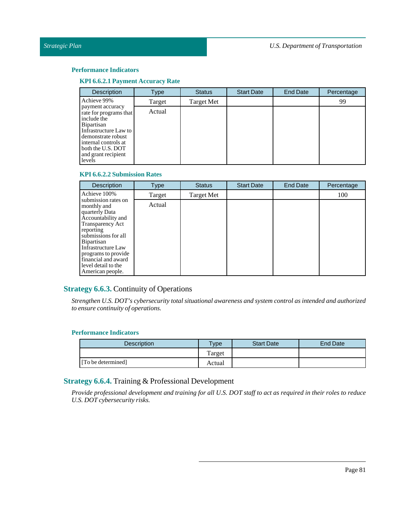#### **Performance Indicators**

#### **KPI 6.6.2.1 Payment Accuracy Rate**

| <b>Description</b>                                                                                                                                                                                          | Type   | <b>Status</b> | <b>Start Date</b> | <b>End Date</b> | Percentage |
|-------------------------------------------------------------------------------------------------------------------------------------------------------------------------------------------------------------|--------|---------------|-------------------|-----------------|------------|
| Achieve 99%                                                                                                                                                                                                 | Target | Target Met    |                   |                 | 99         |
| payment accuracy<br>rate for programs that<br>include the<br><b>Bipartisan</b><br>Infrastructure Law to<br>demonstrate robust<br>internal controls at<br>both the U.S. DOT<br>and grant recipient<br>levels | Actual |               |                   |                 |            |

## **KPI 6.6.2.2Submission Rates**

| Description                                                                                                                                                                                                                                                                    | Type   | <b>Status</b>     | <b>Start Date</b> | <b>End Date</b> | Percentage |
|--------------------------------------------------------------------------------------------------------------------------------------------------------------------------------------------------------------------------------------------------------------------------------|--------|-------------------|-------------------|-----------------|------------|
| Achieve 100%                                                                                                                                                                                                                                                                   | Target | <b>Target Met</b> |                   |                 | 100        |
| submission rates on<br>monthly and<br>quarterly Data<br>Accountability and<br><b>Transparency Act</b><br>reporting<br>submissions for all<br><b>B</b> ipartisan<br>Infrastructure Law<br>programs to provide<br>financial and award<br>level detail to the<br>American people. | Actual |                   |                   |                 |            |

## **Strategy 6.6.3.** Continuity of Operations

*Strengthen U.S. DOT's cybersecurity total situational awareness and system control as intended and authorized to ensure continuity of operations.*

## **Performance Indicators**

| Description        | $T$ <sub>V</sub> pe | <b>Start Date</b> | <b>End Date</b> |
|--------------------|---------------------|-------------------|-----------------|
|                    | Target              |                   |                 |
| [To be determined] | Actual              |                   |                 |

## **Strategy 6.6.4.** Training & Professional Development

Provide professional development and training for all U.S. DOT staff to act as required in their roles to reduce *U.S. DOTcybersecurity risks.*